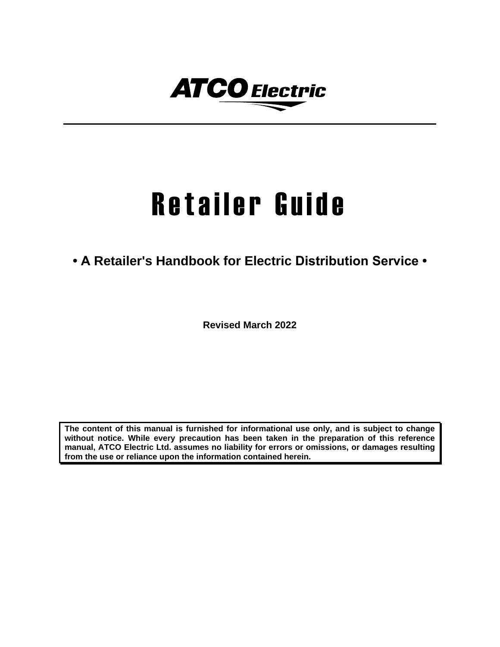

# Retailer Guide

**• A Retailer's Handbook for Electric Distribution Service •**

**Revised March 2022**

**The content of this manual is furnished for informational use only, and is subject to change without notice. While every precaution has been taken in the preparation of this reference manual, ATCO Electric Ltd. assumes no liability for errors or omissions, or damages resulting from the use or reliance upon the information contained herein.**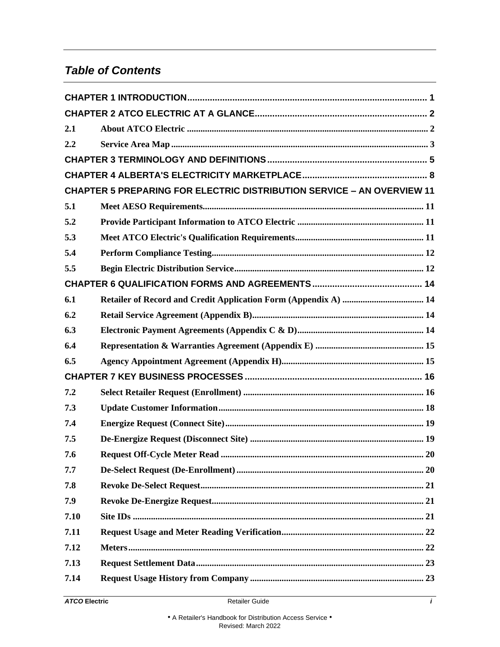# *Table of Contents*

| 2.1  |                                                                               |
|------|-------------------------------------------------------------------------------|
| 2.2  |                                                                               |
|      |                                                                               |
|      |                                                                               |
|      | <b>CHAPTER 5 PREPARING FOR ELECTRIC DISTRIBUTION SERVICE - AN OVERVIEW 11</b> |
| 5.1  |                                                                               |
| 5.2  |                                                                               |
| 5.3  |                                                                               |
| 5.4  |                                                                               |
| 5.5  |                                                                               |
|      |                                                                               |
| 6.1  |                                                                               |
| 6.2  |                                                                               |
| 6.3  |                                                                               |
| 6.4  |                                                                               |
| 6.5  |                                                                               |
|      |                                                                               |
| 7.2  |                                                                               |
| 7.3  |                                                                               |
| 7.4  |                                                                               |
| 7.5  |                                                                               |
| 7.6  | $\sqrt{20}$                                                                   |
| 7.7  |                                                                               |
| 7.8  |                                                                               |
| 7.9  |                                                                               |
| 7.10 |                                                                               |
| 7.11 |                                                                               |
| 7.12 |                                                                               |
| 7.13 |                                                                               |
| 7.14 |                                                                               |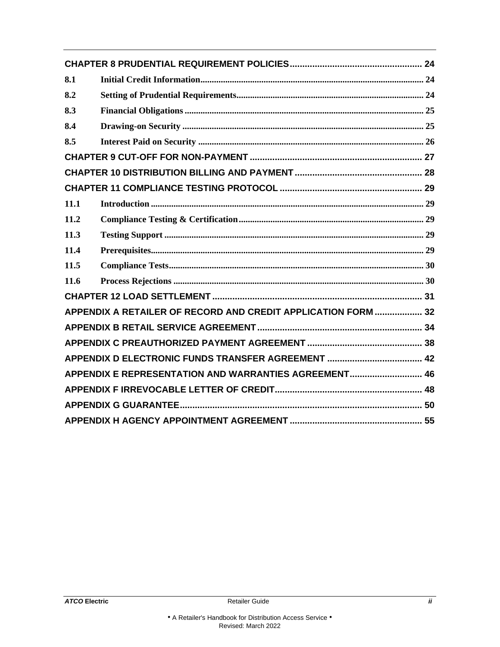| 8.1                                                           |  |  |
|---------------------------------------------------------------|--|--|
| 8.2                                                           |  |  |
| 8.3                                                           |  |  |
| 8.4                                                           |  |  |
| 8.5                                                           |  |  |
|                                                               |  |  |
|                                                               |  |  |
|                                                               |  |  |
| 11.1                                                          |  |  |
| 11.2                                                          |  |  |
| 11.3                                                          |  |  |
| 11.4                                                          |  |  |
| 11.5                                                          |  |  |
| 11.6                                                          |  |  |
|                                                               |  |  |
| APPENDIX A RETAILER OF RECORD AND CREDIT APPLICATION FORM  32 |  |  |
|                                                               |  |  |
|                                                               |  |  |
|                                                               |  |  |
| APPENDIX E REPRESENTATION AND WARRANTIES AGREEMENT 46         |  |  |
|                                                               |  |  |
|                                                               |  |  |
|                                                               |  |  |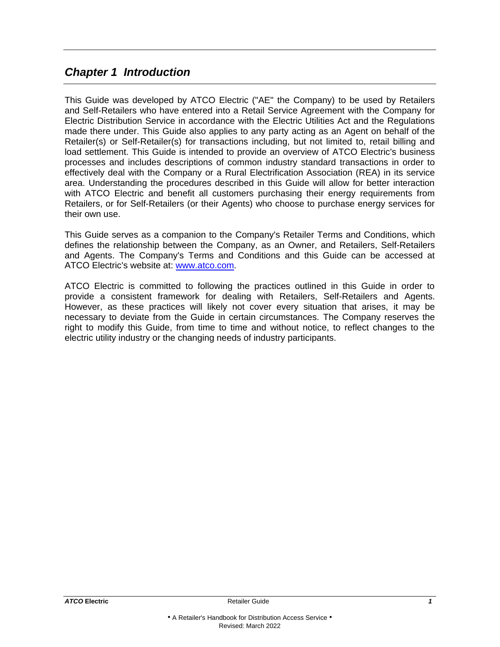# <span id="page-3-0"></span>*Chapter 1 Introduction*

This Guide was developed by ATCO Electric ("AE" the Company) to be used by Retailers and Self-Retailers who have entered into a Retail Service Agreement with the Company for Electric Distribution Service in accordance with the Electric Utilities Act and the Regulations made there under. This Guide also applies to any party acting as an Agent on behalf of the Retailer(s) or Self-Retailer(s) for transactions including, but not limited to, retail billing and load settlement. This Guide is intended to provide an overview of ATCO Electric's business processes and includes descriptions of common industry standard transactions in order to effectively deal with the Company or a Rural Electrification Association (REA) in its service area. Understanding the procedures described in this Guide will allow for better interaction with ATCO Electric and benefit all customers purchasing their energy requirements from Retailers, or for Self-Retailers (or their Agents) who choose to purchase energy services for their own use.

This Guide serves as a companion to the Company's Retailer Terms and Conditions, which defines the relationship between the Company, as an Owner, and Retailers, Self-Retailers and Agents. The Company's Terms and Conditions and this Guide can be accessed at ATCO Electric's website at: [www.atco.com.](http://www.atco.com/)

ATCO Electric is committed to following the practices outlined in this Guide in order to provide a consistent framework for dealing with Retailers, Self-Retailers and Agents. However, as these practices will likely not cover every situation that arises, it may be necessary to deviate from the Guide in certain circumstances. The Company reserves the right to modify this Guide, from time to time and without notice, to reflect changes to the electric utility industry or the changing needs of industry participants.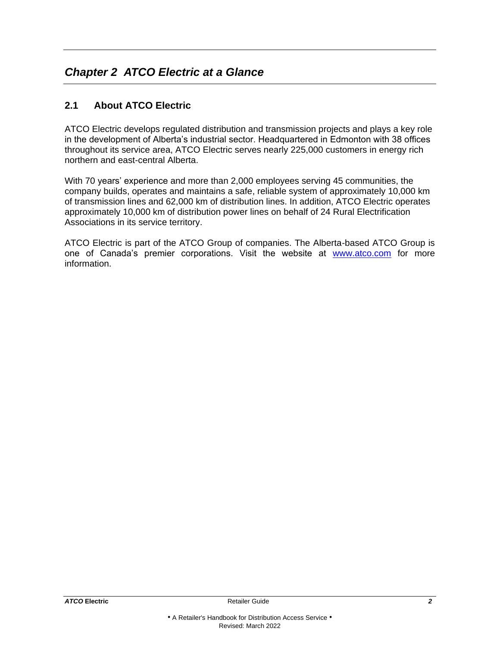# <span id="page-4-0"></span>*Chapter 2 ATCO Electric at a Glance*

# <span id="page-4-1"></span>**2.1 About ATCO Electric**

ATCO Electric develops regulated distribution and transmission projects and plays a key role in the development of Alberta's industrial sector. Headquartered in Edmonton with 38 offices throughout its service area, ATCO Electric serves nearly 225,000 customers in energy rich northern and east-central Alberta.

With 70 years' experience and more than 2,000 employees serving 45 communities, the company builds, operates and maintains a safe, reliable system of approximately 10,000 km of transmission lines and 62,000 km of distribution lines. In addition, ATCO Electric operates approximately 10,000 km of distribution power lines on behalf of 24 Rural Electrification Associations in its service territory.

ATCO Electric is part of the ATCO Group of companies. The Alberta-based ATCO Group is one of Canada's premier corporations. Visit the website at [www.atco.com](https://www.atco.com/) for more information.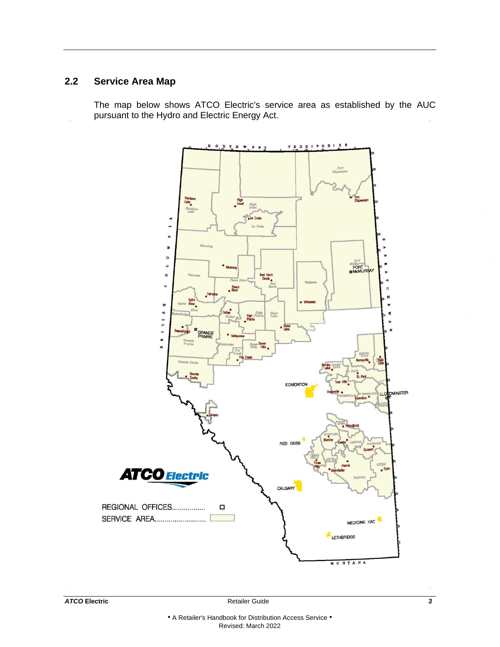# <span id="page-5-0"></span>**2.2 Service Area Map**

The map below shows ATCO Electric's service area as established by the AUC pursuant to the Hydro and Electric Energy Act.

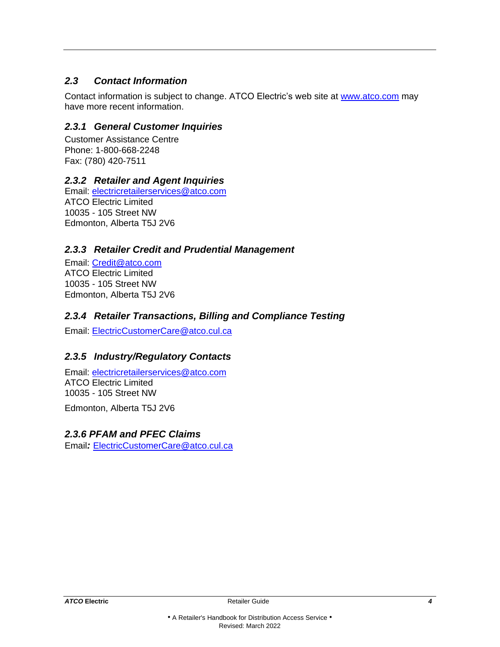# *2.3 Contact Information*

Contact information is subject to change. ATCO Electric's web site at [www.atco.com](http://www.atco.com/) may have more recent information.

# *2.3.1 General Customer Inquiries*

Customer Assistance Centre Phone: 1-800-668-2248 Fax: (780) 420-7511

# *2.3.2 Retailer and Agent Inquiries*

Email: [electricretailerservices@atco.com](mailto:electricretailerservices@atco.com) ATCO Electric Limited 10035 - 105 Street NW Edmonton, Alberta T5J 2V6

# *2.3.3 Retailer Credit and Prudential Management*

Email: [Credit@atco.com](mailto:Credit@atco.com) ATCO Electric Limited 10035 - 105 Street NW Edmonton, Alberta T5J 2V6

# *2.3.4 Retailer Transactions, Billing and Compliance Testing*

Email: [ElectricCustomerCare@atco.cul.ca](mailto:ElectricCustomerCare@atco.cul.ca)

# *2.3.5 Industry/Regulatory Contacts*

Email: [electricretailerservices@atco.com](mailto:electricretailerservices@atco.com) ATCO Electric Limited 10035 - 105 Street NW

Edmonton, Alberta T5J 2V6

# *2.3.6 PFAM and PFEC Claims*

Email*:* [ElectricCustomerCare@atco.cul.ca](mailto:ElectricCustomerCare@atco.cul.ca)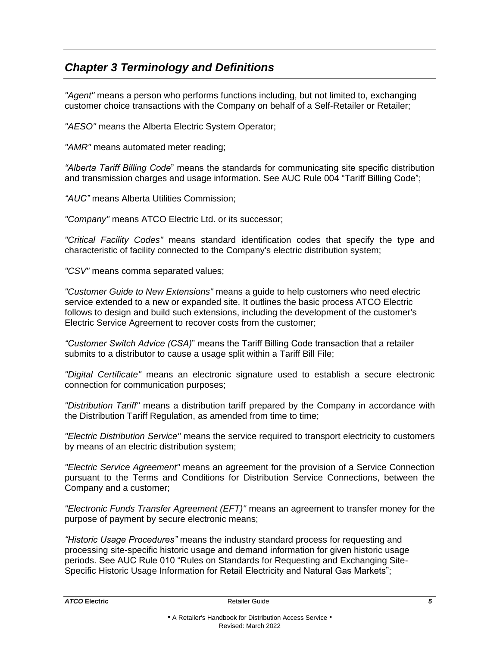# <span id="page-7-0"></span>*Chapter 3 Terminology and Definitions*

*"Agent"* means a person who performs functions including, but not limited to, exchanging customer choice transactions with the Company on behalf of a Self-Retailer or Retailer;

*"AESO"* means the Alberta Electric System Operator;

*"AMR"* means automated meter reading;

*"Alberta Tariff Billing Code*" means the standards for communicating site specific distribution and transmission charges and usage information. See AUC Rule 004 "Tariff Billing Code";

*"AUC"* means Alberta Utilities Commission;

*"Company"* means ATCO Electric Ltd. or its successor;

*"Critical Facility Codes"* means standard identification codes that specify the type and characteristic of facility connected to the Company's electric distribution system;

*"CSV"* means comma separated values;

*"Customer Guide to New Extensions"* means a guide to help customers who need electric service extended to a new or expanded site. It outlines the basic process ATCO Electric follows to design and build such extensions, including the development of the customer's Electric Service Agreement to recover costs from the customer;

*"Customer Switch Advice (CSA)*" means the Tariff Billing Code transaction that a retailer submits to a distributor to cause a usage split within a Tariff Bill File;

*"Digital Certificate"* means an electronic signature used to establish a secure electronic connection for communication purposes;

*"Distribution Tariff"* means a distribution tariff prepared by the Company in accordance with the Distribution Tariff Regulation, as amended from time to time;

*"Electric Distribution Service"* means the service required to transport electricity to customers by means of an electric distribution system;

*"Electric Service Agreement"* means an agreement for the provision of a Service Connection pursuant to the Terms and Conditions for Distribution Service Connections, between the Company and a customer;

*"Electronic Funds Transfer Agreement (EFT)"* means an agreement to transfer money for the purpose of payment by secure electronic means;

*"Historic Usage Procedures"* means the industry standard process for requesting and processing site-specific historic usage and demand information for given historic usage periods. See AUC Rule 010 "Rules on Standards for Requesting and Exchanging Site-Specific Historic Usage Information for Retail Electricity and Natural Gas Markets";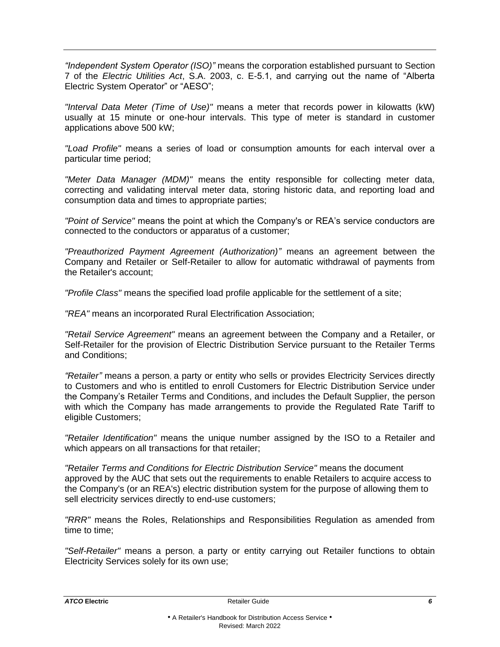*"Independent System Operator (ISO)"* means the corporation established pursuant to Section 7 of the *Electric Utilities Act*, S.A. 2003, c. E-5.1, and carrying out the name of "Alberta Electric System Operator" or "AESO";

*"Interval Data Meter (Time of Use)"* means a meter that records power in kilowatts (kW) usually at 15 minute or one-hour intervals. This type of meter is standard in customer applications above 500 kW;

*"Load Profile"* means a series of load or consumption amounts for each interval over a particular time period;

*"Meter Data Manager (MDM)"* means the entity responsible for collecting meter data, correcting and validating interval meter data, storing historic data, and reporting load and consumption data and times to appropriate parties;

*"Point of Service"* means the point at which the Company's or REA's service conductors are connected to the conductors or apparatus of a customer;

*"Preauthorized Payment Agreement (Authorization)"* means an agreement between the Company and Retailer or Self-Retailer to allow for automatic withdrawal of payments from the Retailer's account;

*"Profile Class"* means the specified load profile applicable for the settlement of a site;

*"REA"* means an incorporated Rural Electrification Association;

*"Retail Service Agreement"* means an agreement between the Company and a Retailer, or Self-Retailer for the provision of Electric Distribution Service pursuant to the Retailer Terms and Conditions;

*"Retailer"* means a person, a party or entity who sells or provides Electricity Services directly to Customers and who is entitled to enroll Customers for Electric Distribution Service under the Company's Retailer Terms and Conditions, and includes the Default Supplier, the person with which the Company has made arrangements to provide the Regulated Rate Tariff to eligible Customers;

*"Retailer Identification"* means the unique number assigned by the ISO to a Retailer and which appears on all transactions for that retailer;

*"Retailer Terms and Conditions for Electric Distribution Service"* means the document approved by the AUC that sets out the requirements to enable Retailers to acquire access to the Company's (or an REA's) electric distribution system for the purpose of allowing them to sell electricity services directly to end-use customers;

*"RRR"* means the Roles, Relationships and Responsibilities Regulation as amended from time to time;

*"Self-Retailer"* means a person, a party or entity carrying out Retailer functions to obtain Electricity Services solely for its own use;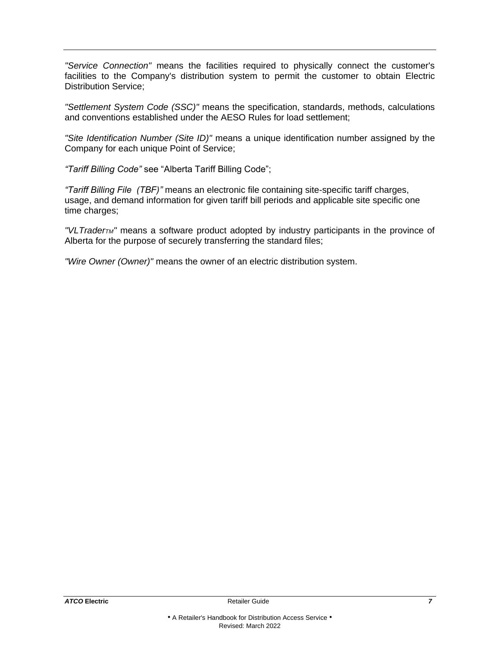*"Service Connection"* means the facilities required to physically connect the customer's facilities to the Company's distribution system to permit the customer to obtain Electric Distribution Service;

*"Settlement System Code (SSC)"* means the specification, standards, methods, calculations and conventions established under the AESO Rules for load settlement;

*"Site Identification Number (Site ID)"* means a unique identification number assigned by the Company for each unique Point of Service;

*"Tariff Billing Code"* see "Alberta Tariff Billing Code";

*"Tariff Billing File (TBF)"* means an electronic file containing site-specific tariff charges, usage, and demand information for given tariff bill periods and applicable site specific one time charges;

*"VLTraderTM"* means a software product adopted by industry participants in the province of Alberta for the purpose of securely transferring the standard files;

*"Wire Owner (Owner)"* means the owner of an electric distribution system.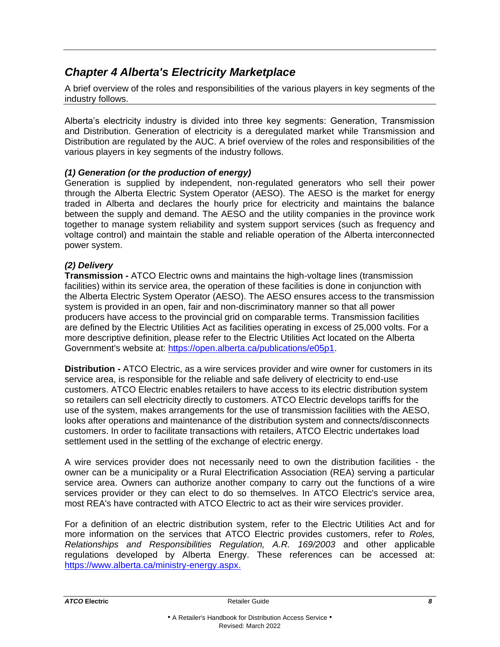# <span id="page-10-0"></span>*Chapter 4 Alberta's Electricity Marketplace*

A brief overview of the roles and responsibilities of the various players in key segments of the industry follows.

Alberta's electricity industry is divided into three key segments: Generation, Transmission and Distribution. Generation of electricity is a deregulated market while Transmission and Distribution are regulated by the AUC. A brief overview of the roles and responsibilities of the various players in key segments of the industry follows.

#### *(1) Generation (or the production of energy)*

Generation is supplied by independent, non-regulated generators who sell their power through the Alberta Electric System Operator (AESO). The AESO is the market for energy traded in Alberta and declares the hourly price for electricity and maintains the balance between the supply and demand. The AESO and the utility companies in the province work together to manage system reliability and system support services (such as frequency and voltage control) and maintain the stable and reliable operation of the Alberta interconnected power system.

#### *(2) Delivery*

**Transmission -** ATCO Electric owns and maintains the high-voltage lines (transmission facilities) within its service area, the operation of these facilities is done in conjunction with the Alberta Electric System Operator (AESO). The AESO ensures access to the transmission system is provided in an open, fair and non-discriminatory manner so that all power producers have access to the provincial grid on comparable terms. Transmission facilities are defined by the Electric Utilities Act as facilities operating in excess of 25,000 volts. For a more descriptive definition, please refer to the Electric Utilities Act located on the Alberta Government's website at: [https://open.alberta.ca/publications/e05p1.](https://open.alberta.ca/publications/e05p1)

**Distribution -** ATCO Electric, as a wire services provider and wire owner for customers in its service area, is responsible for the reliable and safe delivery of electricity to end-use customers. ATCO Electric enables retailers to have access to its electric distribution system so retailers can sell electricity directly to customers. ATCO Electric develops tariffs for the use of the system, makes arrangements for the use of transmission facilities with the AESO, looks after operations and maintenance of the distribution system and connects/disconnects customers. In order to facilitate transactions with retailers, ATCO Electric undertakes load settlement used in the settling of the exchange of electric energy.

A wire services provider does not necessarily need to own the distribution facilities - the owner can be a municipality or a Rural Electrification Association (REA) serving a particular service area. Owners can authorize another company to carry out the functions of a wire services provider or they can elect to do so themselves. In ATCO Electric's service area, most REA's have contracted with ATCO Electric to act as their wire services provider.

For a definition of an electric distribution system, refer to the Electric Utilities Act and for more information on the services that ATCO Electric provides customers, refer to *Roles, Relationships and Responsibilities Regulation, A.R. 169/2003* and other applicable regulations developed by Alberta Energy. These references can be accessed at: [https://www.alberta.ca/ministry-energy.aspx.](https://www.alberta.ca/ministry-energy.aspx)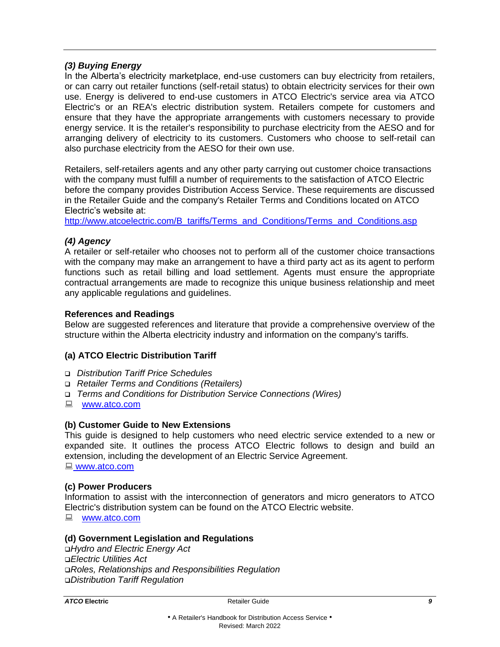#### *(3) Buying Energy*

In the Alberta's electricity marketplace, end-use customers can buy electricity from retailers, or can carry out retailer functions (self-retail status) to obtain electricity services for their own use. Energy is delivered to end-use customers in ATCO Electric's service area via ATCO Electric's or an REA's electric distribution system. Retailers compete for customers and ensure that they have the appropriate arrangements with customers necessary to provide energy service. It is the retailer's responsibility to purchase electricity from the AESO and for arranging delivery of electricity to its customers. Customers who choose to self-retail can also purchase electricity from the AESO for their own use.

Retailers, self-retailers agents and any other party carrying out customer choice transactions with the company must fulfill a number of requirements to the satisfaction of ATCO Electric before the company provides Distribution Access Service. These requirements are discussed in the Retailer Guide and the company's Retailer Terms and Conditions located on ATCO Electric's website at:

[http://www.atcoelectric.com/B\\_tariffs/Terms\\_and\\_Conditions/Terms\\_and\\_Conditions.asp](http://www.atcoelectric.com/B_tariffs/Terms_and_Conditions/Terms_and_Conditions.asp)

#### *(4) Agency*

A retailer or self-retailer who chooses not to perform all of the customer choice transactions with the company may make an arrangement to have a third party act as its agent to perform functions such as retail billing and load settlement. Agents must ensure the appropriate contractual arrangements are made to recognize this unique business relationship and meet any applicable regulations and guidelines.

#### **References and Readings**

Below are suggested references and literature that provide a comprehensive overview of the structure within the Alberta electricity industry and information on the company's tariffs.

#### **(a) ATCO Electric Distribution Tariff**

- ❑ *Distribution Tariff Price Schedules*
- ❑ *Retailer Terms and Conditions (Retailers)*
- ❑ *Terms and Conditions for Distribution Service Connections (Wires)*
- **■** [www.atco.com](https://www.atco.com/)

#### **(b) Customer Guide to New Extensions**

This guide is designed to help customers who need electric service extended to a new or expanded site. It outlines the process ATCO Electric follows to design and build an extension, including the development of an Electric Service Agreement. ■ [www.atco.com](http://www.atco.com/)

**(c) Power Producers** 

Information to assist with the interconnection of generators and micro generators to ATCO Electric's distribution system can be found on the ATCO Electric website.

**■** [www.atco.com](https://www.atco.com/)

#### **(d) Government Legislation and Regulations**

❑*Hydro and Electric Energy Act*  ❑*Electric Utilities Act*  ❑*Roles, Relationships and Responsibilities Regulation*  ❑*Distribution Tariff Regulation*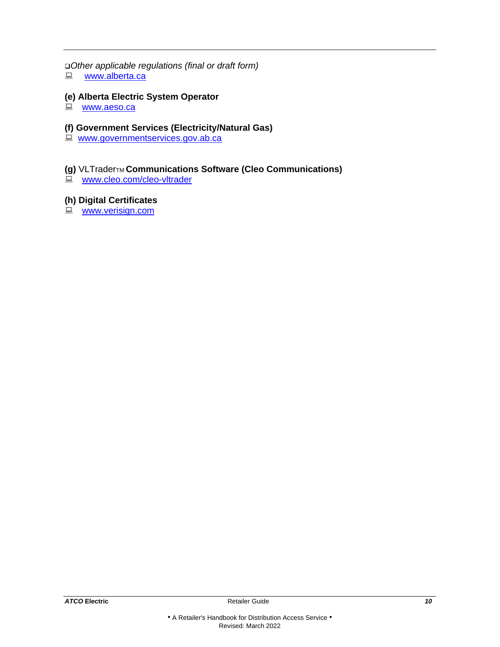# ❑*Other applicable regulations (final or draft form)*

**■** [www.alberta.ca](https://www.alberta.ca/)

# **(e) Alberta Electric System Operator**

■ [www.aeso.ca](https://www.aeso.ca/)

# **(f) Government Services (Electricity/Natural Gas)**

**E** [www.governmentservices.gov.ab.ca](http://www.governmentservices.gov.ab.ca/)

# **(g)** VLTraderTM **Communications Software (Cleo Communications)**

**WWW.cleo.com/cleo-vltrader** 

# **(h) Digital Certificates**

**E** [www.verisign.com](https://www.verisign.com/)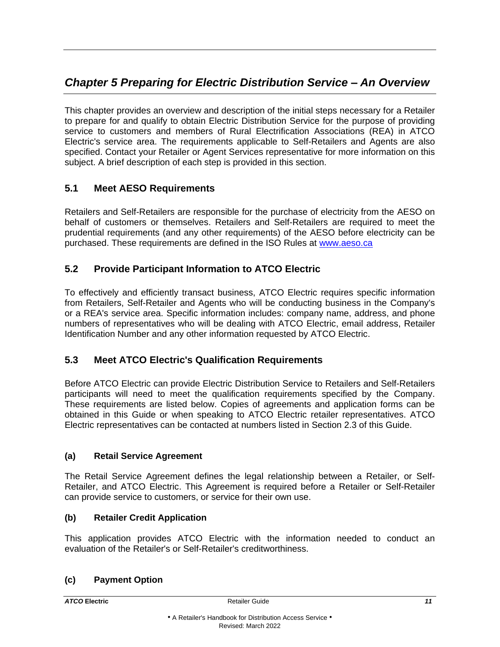# <span id="page-13-0"></span>*Chapter 5 Preparing for Electric Distribution Service – An Overview*

This chapter provides an overview and description of the initial steps necessary for a Retailer to prepare for and qualify to obtain Electric Distribution Service for the purpose of providing service to customers and members of Rural Electrification Associations (REA) in ATCO Electric's service area. The requirements applicable to Self-Retailers and Agents are also specified. Contact your Retailer or Agent Services representative for more information on this subject. A brief description of each step is provided in this section.

# <span id="page-13-1"></span>**5.1 Meet AESO Requirements**

Retailers and Self-Retailers are responsible for the purchase of electricity from the AESO on behalf of customers or themselves. Retailers and Self-Retailers are required to meet the prudential requirements (and any other requirements) of the AESO before electricity can be purchased. These requirements are defined in the ISO Rules at [www.aeso.ca](http://www.aeso.ca/)

# <span id="page-13-2"></span>**5.2 Provide Participant Information to ATCO Electric**

To effectively and efficiently transact business, ATCO Electric requires specific information from Retailers, Self-Retailer and Agents who will be conducting business in the Company's or a REA's service area. Specific information includes: company name, address, and phone numbers of representatives who will be dealing with ATCO Electric, email address, Retailer Identification Number and any other information requested by ATCO Electric.

# <span id="page-13-3"></span>**5.3 Meet ATCO Electric's Qualification Requirements**

Before ATCO Electric can provide Electric Distribution Service to Retailers and Self-Retailers participants will need to meet the qualification requirements specified by the Company. These requirements are listed below. Copies of agreements and application forms can be obtained in this Guide or when speaking to ATCO Electric retailer representatives. ATCO Electric representatives can be contacted at numbers listed in Section 2.3 of this Guide.

# **(a) Retail Service Agreement**

The Retail Service Agreement defines the legal relationship between a Retailer, or Self-Retailer, and ATCO Electric. This Agreement is required before a Retailer or Self-Retailer can provide service to customers, or service for their own use.

# **(b) Retailer Credit Application**

This application provides ATCO Electric with the information needed to conduct an evaluation of the Retailer's or Self-Retailer's creditworthiness.

# **(c) Payment Option**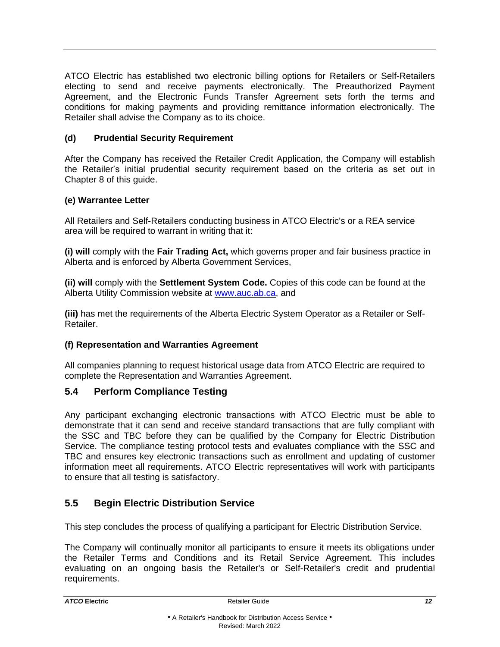ATCO Electric has established two electronic billing options for Retailers or Self-Retailers electing to send and receive payments electronically. The Preauthorized Payment Agreement, and the Electronic Funds Transfer Agreement sets forth the terms and conditions for making payments and providing remittance information electronically. The Retailer shall advise the Company as to its choice.

### **(d) Prudential Security Requirement**

After the Company has received the Retailer Credit Application, the Company will establish the Retailer's initial prudential security requirement based on the criteria as set out in Chapter 8 of this guide.

#### **(e) Warrantee Letter**

All Retailers and Self-Retailers conducting business in ATCO Electric's or a REA service area will be required to warrant in writing that it:

**(i) will** comply with the **Fair Trading Act,** which governs proper and fair business practice in Alberta and is enforced by Alberta Government Services,

**(ii) will** comply with the **Settlement System Code.** Copies of this code can be found at the Alberta Utility Commission website at [www.auc.ab.ca,](http://www.auc.ab.ca/Pages/default.aspx) and

**(iii)** has met the requirements of the Alberta Electric System Operator as a Retailer or Self-Retailer.

#### **(f) Representation and Warranties Agreement**

All companies planning to request historical usage data from ATCO Electric are required to complete the Representation and Warranties Agreement.

# <span id="page-14-0"></span>**5.4 Perform Compliance Testing**

Any participant exchanging electronic transactions with ATCO Electric must be able to demonstrate that it can send and receive standard transactions that are fully compliant with the SSC and TBC before they can be qualified by the Company for Electric Distribution Service. The compliance testing protocol tests and evaluates compliance with the SSC and TBC and ensures key electronic transactions such as enrollment and updating of customer information meet all requirements. ATCO Electric representatives will work with participants to ensure that all testing is satisfactory.

# <span id="page-14-1"></span>**5.5 Begin Electric Distribution Service**

This step concludes the process of qualifying a participant for Electric Distribution Service.

The Company will continually monitor all participants to ensure it meets its obligations under the Retailer Terms and Conditions and its Retail Service Agreement. This includes evaluating on an ongoing basis the Retailer's or Self-Retailer's credit and prudential requirements.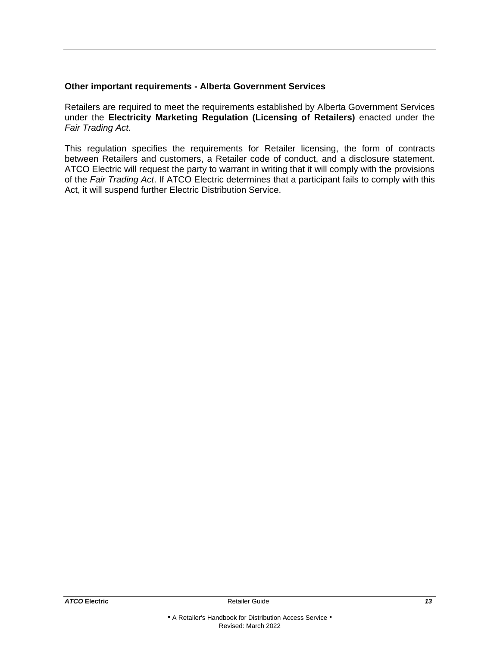#### **Other important requirements - Alberta Government Services**

Retailers are required to meet the requirements established by Alberta Government Services under the **Electricity Marketing Regulation (Licensing of Retailers)** enacted under the *Fair Trading Act*.

This regulation specifies the requirements for Retailer licensing, the form of contracts between Retailers and customers, a Retailer code of conduct, and a disclosure statement. ATCO Electric will request the party to warrant in writing that it will comply with the provisions of the *Fair Trading Act*. If ATCO Electric determines that a participant fails to comply with this Act, it will suspend further Electric Distribution Service.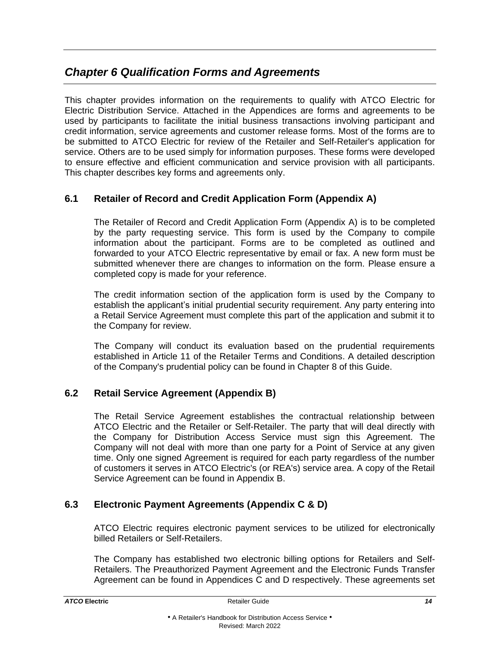# <span id="page-16-0"></span>*Chapter 6 Qualification Forms and Agreements*

This chapter provides information on the requirements to qualify with ATCO Electric for Electric Distribution Service. Attached in the Appendices are forms and agreements to be used by participants to facilitate the initial business transactions involving participant and credit information, service agreements and customer release forms. Most of the forms are to be submitted to ATCO Electric for review of the Retailer and Self-Retailer's application for service. Others are to be used simply for information purposes. These forms were developed to ensure effective and efficient communication and service provision with all participants. This chapter describes key forms and agreements only.

# <span id="page-16-1"></span>**6.1 Retailer of Record and Credit Application Form (Appendix A)**

The Retailer of Record and Credit Application Form (Appendix A) is to be completed by the party requesting service. This form is used by the Company to compile information about the participant. Forms are to be completed as outlined and forwarded to your ATCO Electric representative by email or fax. A new form must be submitted whenever there are changes to information on the form. Please ensure a completed copy is made for your reference.

The credit information section of the application form is used by the Company to establish the applicant's initial prudential security requirement. Any party entering into a Retail Service Agreement must complete this part of the application and submit it to the Company for review.

The Company will conduct its evaluation based on the prudential requirements established in Article 11 of the Retailer Terms and Conditions. A detailed description of the Company's prudential policy can be found in Chapter 8 of this Guide.

# <span id="page-16-2"></span>**6.2 Retail Service Agreement (Appendix B)**

The Retail Service Agreement establishes the contractual relationship between ATCO Electric and the Retailer or Self-Retailer. The party that will deal directly with the Company for Distribution Access Service must sign this Agreement. The Company will not deal with more than one party for a Point of Service at any given time. Only one signed Agreement is required for each party regardless of the number of customers it serves in ATCO Electric's (or REA's) service area. A copy of the Retail Service Agreement can be found in Appendix B.

# <span id="page-16-3"></span>**6.3 Electronic Payment Agreements (Appendix C & D)**

ATCO Electric requires electronic payment services to be utilized for electronically billed Retailers or Self-Retailers.

The Company has established two electronic billing options for Retailers and Self-Retailers. The Preauthorized Payment Agreement and the Electronic Funds Transfer Agreement can be found in Appendices C and D respectively. These agreements set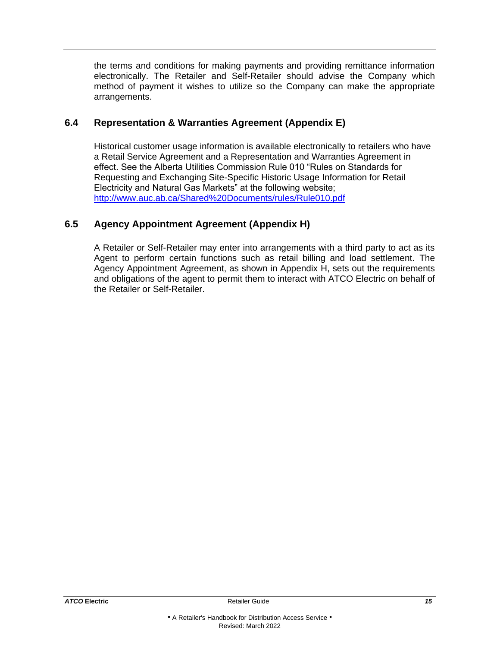the terms and conditions for making payments and providing remittance information electronically. The Retailer and Self-Retailer should advise the Company which method of payment it wishes to utilize so the Company can make the appropriate arrangements.

# <span id="page-17-0"></span>**6.4 Representation & Warranties Agreement (Appendix E)**

Historical customer usage information is available electronically to retailers who have a Retail Service Agreement and a Representation and Warranties Agreement in effect. See the Alberta Utilities Commission Rule 010 "Rules on Standards for Requesting and Exchanging Site-Specific Historic Usage Information for Retail Electricity and Natural Gas Markets" at the following website; <http://www.auc.ab.ca/Shared%20Documents/rules/Rule010.pdf>

# <span id="page-17-1"></span>**6.5 Agency Appointment Agreement (Appendix H)**

A Retailer or Self-Retailer may enter into arrangements with a third party to act as its Agent to perform certain functions such as retail billing and load settlement. The Agency Appointment Agreement, as shown in Appendix H, sets out the requirements and obligations of the agent to permit them to interact with ATCO Electric on behalf of the Retailer or Self-Retailer.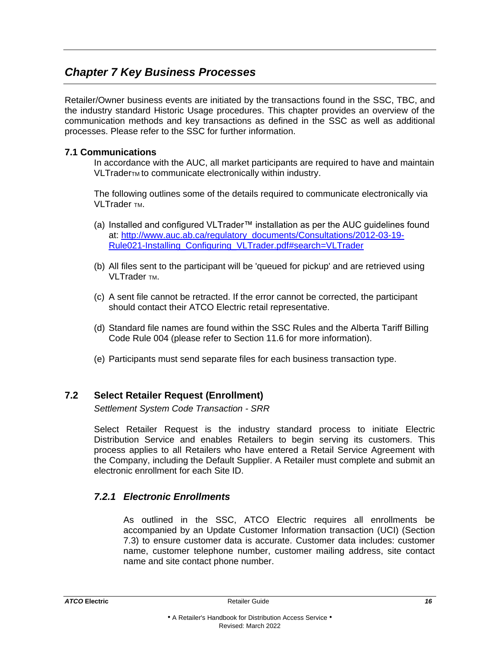# <span id="page-18-0"></span>*Chapter 7 Key Business Processes*

Retailer/Owner business events are initiated by the transactions found in the SSC, TBC, and the industry standard Historic Usage procedures. This chapter provides an overview of the communication methods and key transactions as defined in the SSC as well as additional processes. Please refer to the SSC for further information.

#### **7.1 Communications**

In accordance with the AUC, all market participants are required to have and maintain VLTraderTM to communicate electronically within industry.

The following outlines some of the details required to communicate electronically via VLTrader TM.

- (a) Installed and configured VLTrader™ installation as per the AUC guidelines found at: [http://www.auc.ab.ca/regulatory\\_documents/Consultations/2012-03-19-](http://www.auc.ab.ca/regulatory_documents/Consultations/2012-03-19-Rule021-Installing_Configuring_VLTrader.pdf#search=VLTrader) [Rule021-Installing\\_Configuring\\_VLTrader.pdf#search=VLTrader](http://www.auc.ab.ca/regulatory_documents/Consultations/2012-03-19-Rule021-Installing_Configuring_VLTrader.pdf#search=VLTrader)
- (b) All files sent to the participant will be 'queued for pickup' and are retrieved using VI Trader TM.
- (c) A sent file cannot be retracted. If the error cannot be corrected, the participant should contact their ATCO Electric retail representative.
- (d) Standard file names are found within the SSC Rules and the Alberta Tariff Billing Code Rule 004 (please refer to Section 11.6 for more information).
- (e) Participants must send separate files for each business transaction type.

# <span id="page-18-1"></span>**7.2 Select Retailer Request (Enrollment)**

*Settlement System Code Transaction - SRR*

Select Retailer Request is the industry standard process to initiate Electric Distribution Service and enables Retailers to begin serving its customers. This process applies to all Retailers who have entered a Retail Service Agreement with the Company, including the Default Supplier. A Retailer must complete and submit an electronic enrollment for each Site ID.

# *7.2.1 Electronic Enrollments*

As outlined in the SSC, ATCO Electric requires all enrollments be accompanied by an Update Customer Information transaction (UCI) (Section 7.3) to ensure customer data is accurate. Customer data includes: customer name, customer telephone number, customer mailing address, site contact name and site contact phone number.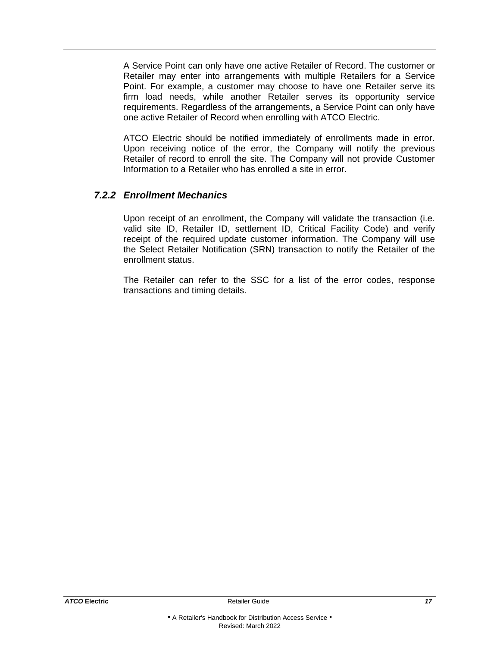A Service Point can only have one active Retailer of Record. The customer or Retailer may enter into arrangements with multiple Retailers for a Service Point. For example, a customer may choose to have one Retailer serve its firm load needs, while another Retailer serves its opportunity service requirements. Regardless of the arrangements, a Service Point can only have one active Retailer of Record when enrolling with ATCO Electric.

ATCO Electric should be notified immediately of enrollments made in error. Upon receiving notice of the error, the Company will notify the previous Retailer of record to enroll the site. The Company will not provide Customer Information to a Retailer who has enrolled a site in error.

# *7.2.2 Enrollment Mechanics*

Upon receipt of an enrollment, the Company will validate the transaction (i.e. valid site ID, Retailer ID, settlement ID, Critical Facility Code) and verify receipt of the required update customer information. The Company will use the Select Retailer Notification (SRN) transaction to notify the Retailer of the enrollment status.

The Retailer can refer to the SSC for a list of the error codes, response transactions and timing details.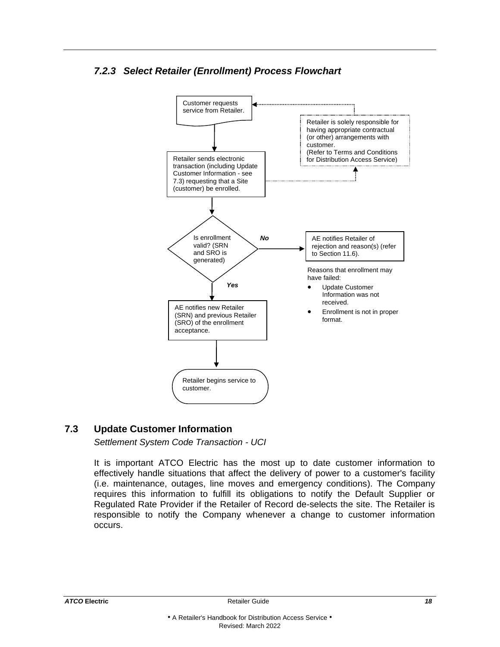# *7.2.3 Select Retailer (Enrollment) Process Flowchart*



# <span id="page-20-0"></span>**7.3 Update Customer Information**

*Settlement System Code Transaction - UCI*

It is important ATCO Electric has the most up to date customer information to effectively handle situations that affect the delivery of power to a customer's facility (i.e. maintenance, outages, line moves and emergency conditions). The Company requires this information to fulfill its obligations to notify the Default Supplier or Regulated Rate Provider if the Retailer of Record de-selects the site. The Retailer is responsible to notify the Company whenever a change to customer information occurs.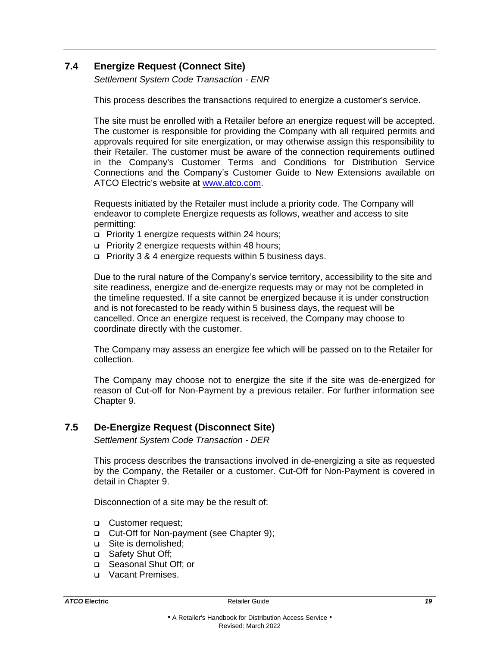# <span id="page-21-0"></span>**7.4 Energize Request (Connect Site)**

*Settlement System Code Transaction - ENR*

This process describes the transactions required to energize a customer's service.

The site must be enrolled with a Retailer before an energize request will be accepted. The customer is responsible for providing the Company with all required permits and approvals required for site energization, or may otherwise assign this responsibility to their Retailer. The customer must be aware of the connection requirements outlined in the Company's Customer Terms and Conditions for Distribution Service Connections and the Company's Customer Guide to New Extensions available on ATCO Electric's website at [www.atco.com.](http://www.atco.com/)

Requests initiated by the Retailer must include a priority code. The Company will endeavor to complete Energize requests as follows, weather and access to site permitting:

- ❑ Priority 1 energize requests within 24 hours;
- ❑ Priority 2 energize requests within 48 hours;
- ❑ Priority 3 & 4 energize requests within 5 business days.

Due to the rural nature of the Company's service territory, accessibility to the site and site readiness, energize and de-energize requests may or may not be completed in the timeline requested. If a site cannot be energized because it is under construction and is not forecasted to be ready within 5 business days, the request will be cancelled. Once an energize request is received, the Company may choose to coordinate directly with the customer.

The Company may assess an energize fee which will be passed on to the Retailer for collection.

The Company may choose not to energize the site if the site was de-energized for reason of Cut-off for Non-Payment by a previous retailer. For further information see Chapter 9.

# <span id="page-21-1"></span>**7.5 De-Energize Request (Disconnect Site)**

*Settlement System Code Transaction - DER*

This process describes the transactions involved in de-energizing a site as requested by the Company, the Retailer or a customer. Cut-Off for Non-Payment is covered in detail in Chapter 9.

Disconnection of a site may be the result of:

- ❑ Customer request;
- ❑ Cut-Off for Non-payment (see Chapter 9);
- ❑ Site is demolished;
- ❑ Safety Shut Off;
- ❑ Seasonal Shut Off; or
- ❑ Vacant Premises.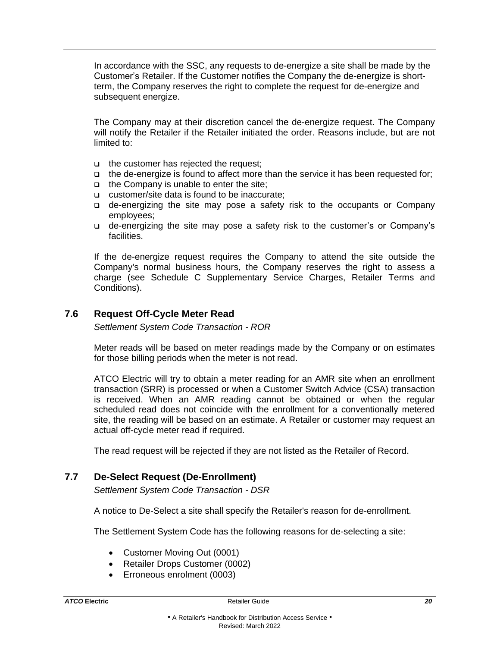In accordance with the SSC, any requests to de-energize a site shall be made by the Customer's Retailer. If the Customer notifies the Company the de-energize is shortterm, the Company reserves the right to complete the request for de-energize and subsequent energize.

The Company may at their discretion cancel the de-energize request. The Company will notify the Retailer if the Retailer initiated the order. Reasons include, but are not limited to:

- ❑ the customer has rejected the request;
- ❑ the de-energize is found to affect more than the service it has been requested for;
- ❑ the Company is unable to enter the site;
- ❑ customer/site data is found to be inaccurate;
- ❑ de-energizing the site may pose a safety risk to the occupants or Company employees;
- ❑ de-energizing the site may pose a safety risk to the customer's or Company's facilities.

If the de-energize request requires the Company to attend the site outside the Company's normal business hours, the Company reserves the right to assess a charge (see Schedule C Supplementary Service Charges, Retailer Terms and Conditions).

#### <span id="page-22-0"></span>**7.6 Request Off-Cycle Meter Read**

*Settlement System Code Transaction - ROR*

Meter reads will be based on meter readings made by the Company or on estimates for those billing periods when the meter is not read.

ATCO Electric will try to obtain a meter reading for an AMR site when an enrollment transaction (SRR) is processed or when a Customer Switch Advice (CSA) transaction is received. When an AMR reading cannot be obtained or when the regular scheduled read does not coincide with the enrollment for a conventionally metered site, the reading will be based on an estimate. A Retailer or customer may request an actual off-cycle meter read if required.

The read request will be rejected if they are not listed as the Retailer of Record.

#### <span id="page-22-1"></span>**7.7 De-Select Request (De-Enrollment)**

*Settlement System Code Transaction - DSR*

A notice to De-Select a site shall specify the Retailer's reason for de-enrollment.

The Settlement System Code has the following reasons for de-selecting a site:

- Customer Moving Out (0001)
- Retailer Drops Customer (0002)
- Erroneous enrolment (0003)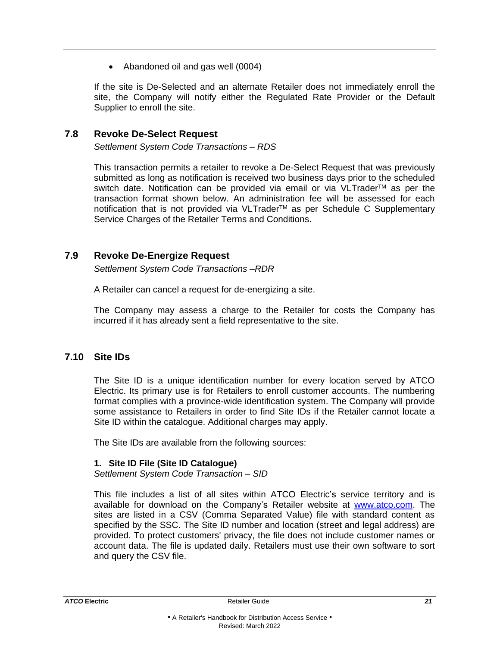• Abandoned oil and gas well (0004)

If the site is De-Selected and an alternate Retailer does not immediately enroll the site, the Company will notify either the Regulated Rate Provider or the Default Supplier to enroll the site.

#### <span id="page-23-0"></span>**7.8 Revoke De-Select Request**

*Settlement System Code Transactions – RDS*

This transaction permits a retailer to revoke a De-Select Request that was previously submitted as long as notification is received two business days prior to the scheduled switch date. Notification can be provided via email or via VLTrader™ as per the transaction format shown below. An administration fee will be assessed for each notification that is not provided via VLTrader™ as per Schedule C Supplementary Service Charges of the Retailer Terms and Conditions.

#### <span id="page-23-1"></span>**7.9 Revoke De-Energize Request**

*Settlement System Code Transactions –RDR*

A Retailer can cancel a request for de-energizing a site.

The Company may assess a charge to the Retailer for costs the Company has incurred if it has already sent a field representative to the site.

# <span id="page-23-2"></span>**7.10 Site IDs**

The Site ID is a unique identification number for every location served by ATCO Electric. Its primary use is for Retailers to enroll customer accounts. The numbering format complies with a province-wide identification system. The Company will provide some assistance to Retailers in order to find Site IDs if the Retailer cannot locate a Site ID within the catalogue. Additional charges may apply.

The Site IDs are available from the following sources:

#### **1. Site ID File (Site ID Catalogue)**

*Settlement System Code Transaction – SID* 

This file includes a list of all sites within ATCO Electric's service territory and is available for download on the Company's Retailer website at [www.atco.com.](http://www.atco.com/) The sites are listed in a CSV (Comma Separated Value) file with standard content as specified by the SSC. The Site ID number and location (street and legal address) are provided. To protect customers' privacy, the file does not include customer names or account data. The file is updated daily. Retailers must use their own software to sort and query the CSV file.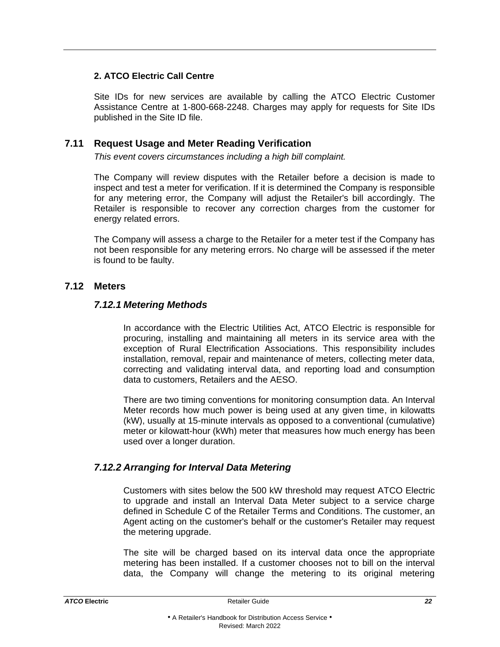# **2. ATCO Electric Call Centre**

Site IDs for new services are available by calling the ATCO Electric Customer Assistance Centre at 1-800-668-2248. Charges may apply for requests for Site IDs published in the Site ID file.

# <span id="page-24-0"></span>**7.11 Request Usage and Meter Reading Verification**

*This event covers circumstances including a high bill complaint.*

The Company will review disputes with the Retailer before a decision is made to inspect and test a meter for verification. If it is determined the Company is responsible for any metering error, the Company will adjust the Retailer's bill accordingly. The Retailer is responsible to recover any correction charges from the customer for energy related errors.

The Company will assess a charge to the Retailer for a meter test if the Company has not been responsible for any metering errors. No charge will be assessed if the meter is found to be faulty.

#### <span id="page-24-1"></span>**7.12 Meters**

# *7.12.1 Metering Methods*

In accordance with the Electric Utilities Act, ATCO Electric is responsible for procuring, installing and maintaining all meters in its service area with the exception of Rural Electrification Associations. This responsibility includes installation, removal, repair and maintenance of meters, collecting meter data, correcting and validating interval data, and reporting load and consumption data to customers, Retailers and the AESO.

There are two timing conventions for monitoring consumption data. An Interval Meter records how much power is being used at any given time, in kilowatts (kW), usually at 15-minute intervals as opposed to a conventional (cumulative) meter or kilowatt-hour (kWh) meter that measures how much energy has been used over a longer duration.

# *7.12.2 Arranging for Interval Data Metering*

Customers with sites below the 500 kW threshold may request ATCO Electric to upgrade and install an Interval Data Meter subject to a service charge defined in Schedule C of the Retailer Terms and Conditions. The customer, an Agent acting on the customer's behalf or the customer's Retailer may request the metering upgrade.

The site will be charged based on its interval data once the appropriate metering has been installed. If a customer chooses not to bill on the interval data, the Company will change the metering to its original metering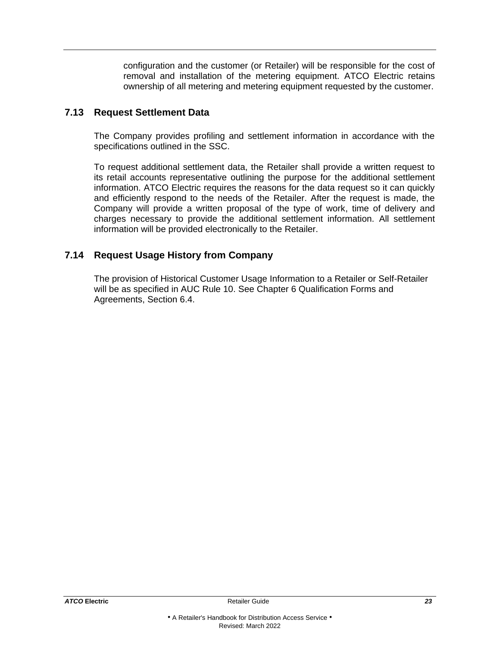configuration and the customer (or Retailer) will be responsible for the cost of removal and installation of the metering equipment. ATCO Electric retains ownership of all metering and metering equipment requested by the customer.

#### <span id="page-25-0"></span>**7.13 Request Settlement Data**

The Company provides profiling and settlement information in accordance with the specifications outlined in the SSC.

To request additional settlement data, the Retailer shall provide a written request to its retail accounts representative outlining the purpose for the additional settlement information. ATCO Electric requires the reasons for the data request so it can quickly and efficiently respond to the needs of the Retailer. After the request is made, the Company will provide a written proposal of the type of work, time of delivery and charges necessary to provide the additional settlement information. All settlement information will be provided electronically to the Retailer.

# <span id="page-25-1"></span>**7.14 Request Usage History from Company**

The provision of Historical Customer Usage Information to a Retailer or Self-Retailer will be as specified in AUC Rule 10. See Chapter 6 Qualification Forms and Agreements, Section 6.4.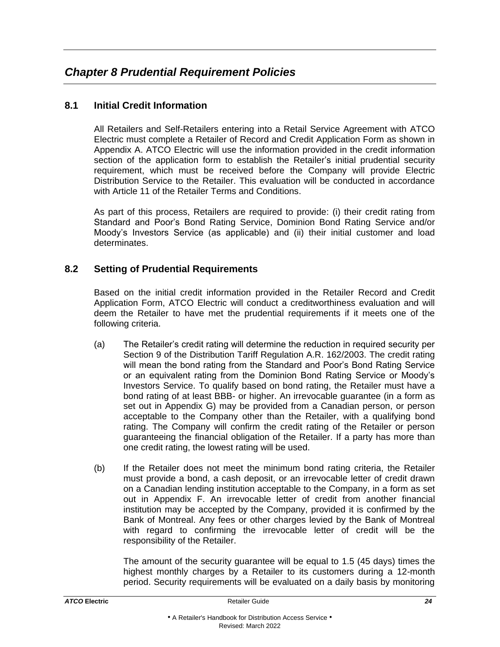# <span id="page-26-1"></span><span id="page-26-0"></span>**8.1 Initial Credit Information**

All Retailers and Self-Retailers entering into a Retail Service Agreement with ATCO Electric must complete a Retailer of Record and Credit Application Form as shown in Appendix A. ATCO Electric will use the information provided in the credit information section of the application form to establish the Retailer's initial prudential security requirement, which must be received before the Company will provide Electric Distribution Service to the Retailer. This evaluation will be conducted in accordance with Article 11 of the Retailer Terms and Conditions.

As part of this process, Retailers are required to provide: (i) their credit rating from Standard and Poor's Bond Rating Service, Dominion Bond Rating Service and/or Moody's Investors Service (as applicable) and (ii) their initial customer and load determinates.

# <span id="page-26-2"></span>**8.2 Setting of Prudential Requirements**

Based on the initial credit information provided in the Retailer Record and Credit Application Form, ATCO Electric will conduct a creditworthiness evaluation and will deem the Retailer to have met the prudential requirements if it meets one of the following criteria.

- (a) The Retailer's credit rating will determine the reduction in required security per Section 9 of the Distribution Tariff Regulation A.R. 162/2003. The credit rating will mean the bond rating from the Standard and Poor's Bond Rating Service or an equivalent rating from the Dominion Bond Rating Service or Moody's Investors Service. To qualify based on bond rating, the Retailer must have a bond rating of at least BBB- or higher. An irrevocable guarantee (in a form as set out in Appendix G) may be provided from a Canadian person, or person acceptable to the Company other than the Retailer, with a qualifying bond rating. The Company will confirm the credit rating of the Retailer or person guaranteeing the financial obligation of the Retailer. If a party has more than one credit rating, the lowest rating will be used.
- (b) If the Retailer does not meet the minimum bond rating criteria, the Retailer must provide a bond, a cash deposit, or an irrevocable letter of credit drawn on a Canadian lending institution acceptable to the Company, in a form as set out in Appendix F. An irrevocable letter of credit from another financial institution may be accepted by the Company, provided it is confirmed by the Bank of Montreal. Any fees or other charges levied by the Bank of Montreal with regard to confirming the irrevocable letter of credit will be the responsibility of the Retailer.

The amount of the security guarantee will be equal to 1.5 (45 days) times the highest monthly charges by a Retailer to its customers during a 12-month period. Security requirements will be evaluated on a daily basis by monitoring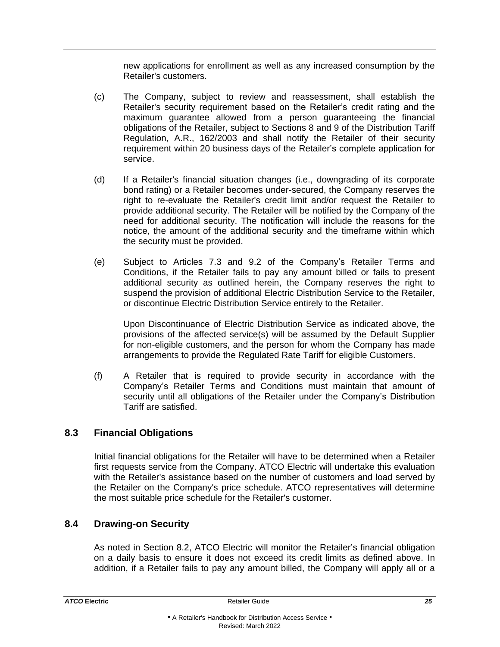new applications for enrollment as well as any increased consumption by the Retailer's customers.

- (c) The Company, subject to review and reassessment, shall establish the Retailer's security requirement based on the Retailer's credit rating and the maximum guarantee allowed from a person guaranteeing the financial obligations of the Retailer, subject to Sections 8 and 9 of the Distribution Tariff Regulation, A.R., 162/2003 and shall notify the Retailer of their security requirement within 20 business days of the Retailer's complete application for service.
- (d) If a Retailer's financial situation changes (i.e., downgrading of its corporate bond rating) or a Retailer becomes under-secured, the Company reserves the right to re-evaluate the Retailer's credit limit and/or request the Retailer to provide additional security. The Retailer will be notified by the Company of the need for additional security. The notification will include the reasons for the notice, the amount of the additional security and the timeframe within which the security must be provided.
- (e) Subject to Articles 7.3 and 9.2 of the Company's Retailer Terms and Conditions, if the Retailer fails to pay any amount billed or fails to present additional security as outlined herein, the Company reserves the right to suspend the provision of additional Electric Distribution Service to the Retailer, or discontinue Electric Distribution Service entirely to the Retailer.

Upon Discontinuance of Electric Distribution Service as indicated above, the provisions of the affected service(s) will be assumed by the Default Supplier for non-eligible customers, and the person for whom the Company has made arrangements to provide the Regulated Rate Tariff for eligible Customers.

(f) A Retailer that is required to provide security in accordance with the Company's Retailer Terms and Conditions must maintain that amount of security until all obligations of the Retailer under the Company's Distribution Tariff are satisfied.

# <span id="page-27-0"></span>**8.3 Financial Obligations**

Initial financial obligations for the Retailer will have to be determined when a Retailer first requests service from the Company. ATCO Electric will undertake this evaluation with the Retailer's assistance based on the number of customers and load served by the Retailer on the Company's price schedule. ATCO representatives will determine the most suitable price schedule for the Retailer's customer.

# <span id="page-27-1"></span>**8.4 Drawing-on Security**

As noted in Section 8.2, ATCO Electric will monitor the Retailer's financial obligation on a daily basis to ensure it does not exceed its credit limits as defined above. In addition, if a Retailer fails to pay any amount billed, the Company will apply all or a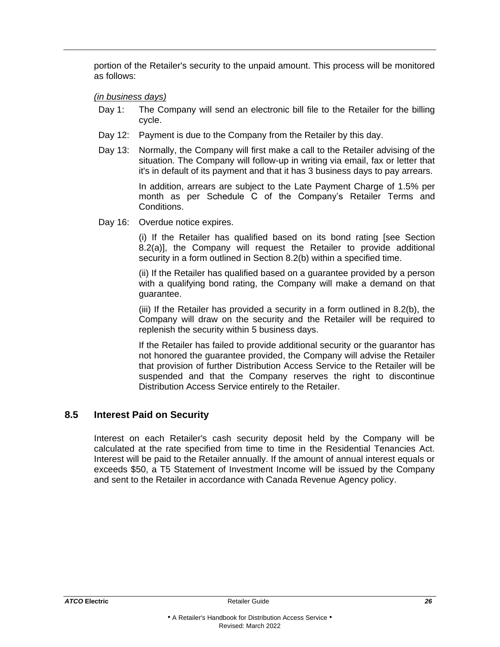portion of the Retailer's security to the unpaid amount. This process will be monitored as follows:

#### *(in business days)*

- Day 1: The Company will send an electronic bill file to the Retailer for the billing cycle.
- Day 12: Payment is due to the Company from the Retailer by this day.
- Day 13: Normally, the Company will first make a call to the Retailer advising of the situation. The Company will follow-up in writing via email, fax or letter that it's in default of its payment and that it has 3 business days to pay arrears.

In addition, arrears are subject to the Late Payment Charge of 1.5% per month as per Schedule C of the Company's Retailer Terms and Conditions.

Day 16: Overdue notice expires.

(i) If the Retailer has qualified based on its bond rating [see Section 8.2(a)], the Company will request the Retailer to provide additional security in a form outlined in Section 8.2(b) within a specified time.

(ii) If the Retailer has qualified based on a guarantee provided by a person with a qualifying bond rating, the Company will make a demand on that guarantee.

(iii) If the Retailer has provided a security in a form outlined in 8.2(b), the Company will draw on the security and the Retailer will be required to replenish the security within 5 business days.

If the Retailer has failed to provide additional security or the guarantor has not honored the guarantee provided, the Company will advise the Retailer that provision of further Distribution Access Service to the Retailer will be suspended and that the Company reserves the right to discontinue Distribution Access Service entirely to the Retailer.

# <span id="page-28-0"></span>**8.5 Interest Paid on Security**

Interest on each Retailer's cash security deposit held by the Company will be calculated at the rate specified from time to time in the Residential Tenancies Act. Interest will be paid to the Retailer annually. If the amount of annual interest equals or exceeds \$50, a T5 Statement of Investment Income will be issued by the Company and sent to the Retailer in accordance with Canada Revenue Agency policy.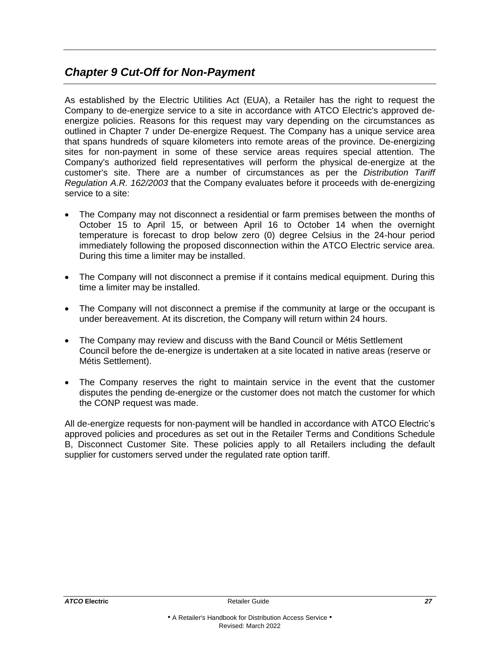# <span id="page-29-0"></span>*Chapter 9 Cut-Off for Non-Payment*

As established by the Electric Utilities Act (EUA), a Retailer has the right to request the Company to de-energize service to a site in accordance with ATCO Electric's approved deenergize policies. Reasons for this request may vary depending on the circumstances as outlined in Chapter 7 under De-energize Request. The Company has a unique service area that spans hundreds of square kilometers into remote areas of the province. De-energizing sites for non-payment in some of these service areas requires special attention. The Company's authorized field representatives will perform the physical de-energize at the customer's site. There are a number of circumstances as per the *Distribution Tariff Regulation A.R. 162/2003* that the Company evaluates before it proceeds with de-energizing service to a site:

- The Company may not disconnect a residential or farm premises between the months of October 15 to April 15, or between April 16 to October 14 when the overnight temperature is forecast to drop below zero (0) degree Celsius in the 24-hour period immediately following the proposed disconnection within the ATCO Electric service area. During this time a limiter may be installed.
- The Company will not disconnect a premise if it contains medical equipment. During this time a limiter may be installed.
- The Company will not disconnect a premise if the community at large or the occupant is under bereavement. At its discretion, the Company will return within 24 hours.
- The Company may review and discuss with the Band Council or Métis Settlement Council before the de-energize is undertaken at a site located in native areas (reserve or Métis Settlement).
- The Company reserves the right to maintain service in the event that the customer disputes the pending de-energize or the customer does not match the customer for which the CONP request was made.

All de-energize requests for non-payment will be handled in accordance with ATCO Electric's approved policies and procedures as set out in the Retailer Terms and Conditions Schedule B, Disconnect Customer Site. These policies apply to all Retailers including the default supplier for customers served under the regulated rate option tariff.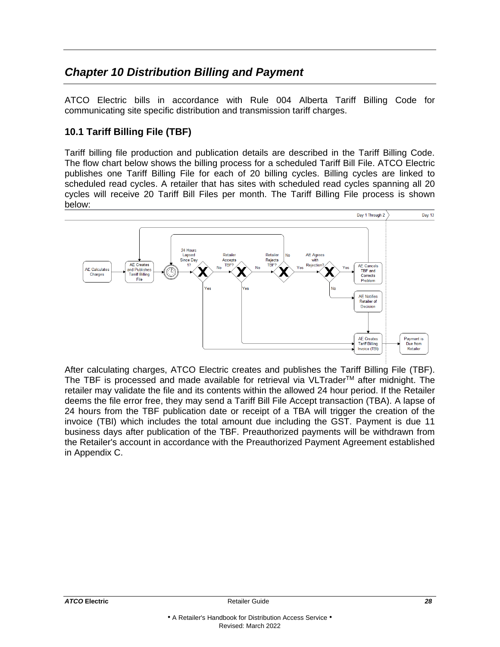# <span id="page-30-0"></span>*Chapter 10 Distribution Billing and Payment*

ATCO Electric bills in accordance with Rule 004 Alberta Tariff Billing Code for communicating site specific distribution and transmission tariff charges.

# **10.1 Tariff Billing File (TBF)**

Tariff billing file production and publication details are described in the Tariff Billing Code. The flow chart below shows the billing process for a scheduled Tariff Bill File. ATCO Electric publishes one Tariff Billing File for each of 20 billing cycles. Billing cycles are linked to scheduled read cycles. A retailer that has sites with scheduled read cycles spanning all 20 cycles will receive 20 Tariff Bill Files per month. The Tariff Billing File process is shown below:



After calculating charges, ATCO Electric creates and publishes the Tariff Billing File (TBF). The TBF is processed and made available for retrieval via  $VLTrader^{TM}$  after midnight. The retailer may validate the file and its contents within the allowed 24 hour period. If the Retailer deems the file error free, they may send a Tariff Bill File Accept transaction (TBA). A lapse of 24 hours from the TBF publication date or receipt of a TBA will trigger the creation of the invoice (TBI) which includes the total amount due including the GST. Payment is due 11 business days after publication of the TBF. Preauthorized payments will be withdrawn from the Retailer's account in accordance with the Preauthorized Payment Agreement established in Appendix C.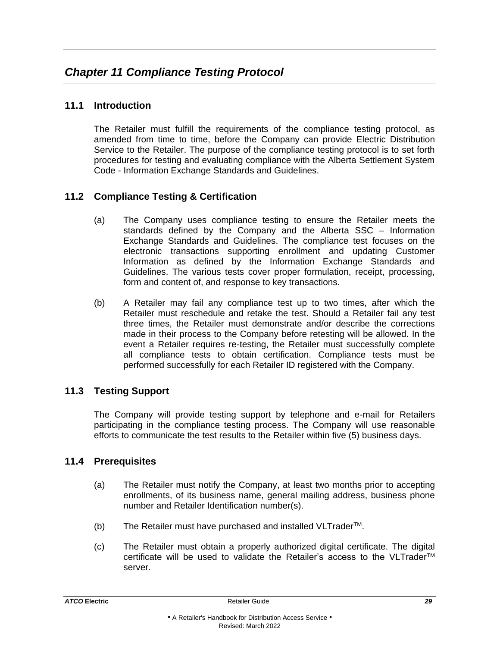# <span id="page-31-1"></span><span id="page-31-0"></span>**11.1 Introduction**

The Retailer must fulfill the requirements of the compliance testing protocol, as amended from time to time, before the Company can provide Electric Distribution Service to the Retailer. The purpose of the compliance testing protocol is to set forth procedures for testing and evaluating compliance with the Alberta Settlement System Code - Information Exchange Standards and Guidelines.

# <span id="page-31-2"></span>**11.2 Compliance Testing & Certification**

- (a) The Company uses compliance testing to ensure the Retailer meets the standards defined by the Company and the Alberta SSC – Information Exchange Standards and Guidelines. The compliance test focuses on the electronic transactions supporting enrollment and updating Customer Information as defined by the Information Exchange Standards and Guidelines. The various tests cover proper formulation, receipt, processing, form and content of, and response to key transactions.
- (b) A Retailer may fail any compliance test up to two times, after which the Retailer must reschedule and retake the test. Should a Retailer fail any test three times, the Retailer must demonstrate and/or describe the corrections made in their process to the Company before retesting will be allowed. In the event a Retailer requires re-testing, the Retailer must successfully complete all compliance tests to obtain certification. Compliance tests must be performed successfully for each Retailer ID registered with the Company.

# <span id="page-31-3"></span>**11.3 Testing Support**

The Company will provide testing support by telephone and e-mail for Retailers participating in the compliance testing process. The Company will use reasonable efforts to communicate the test results to the Retailer within five (5) business days.

# <span id="page-31-4"></span>**11.4 Prerequisites**

- (a) The Retailer must notify the Company, at least two months prior to accepting enrollments, of its business name, general mailing address, business phone number and Retailer Identification number(s).
- $(b)$  The Retailer must have purchased and installed VLTrader<sup>TM</sup>.
- (c) The Retailer must obtain a properly authorized digital certificate. The digital certificate will be used to validate the Retailer's access to the VLTraderTM server.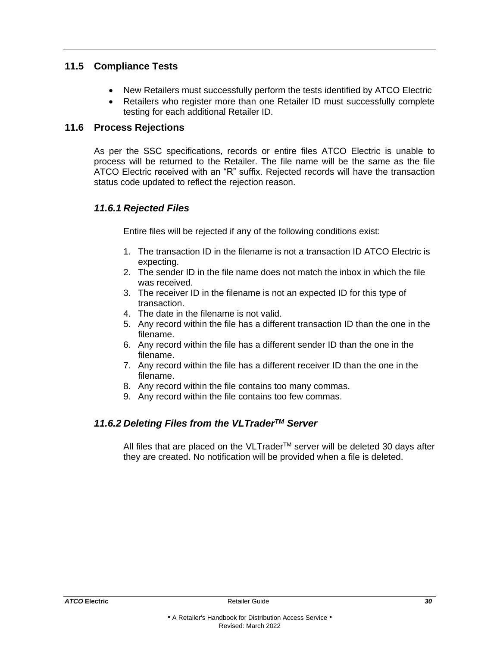# <span id="page-32-0"></span>**11.5 Compliance Tests**

- New Retailers must successfully perform the tests identified by ATCO Electric
- Retailers who register more than one Retailer ID must successfully complete testing for each additional Retailer ID.

# <span id="page-32-1"></span>**11.6 Process Rejections**

As per the SSC specifications, records or entire files ATCO Electric is unable to process will be returned to the Retailer. The file name will be the same as the file ATCO Electric received with an "R" suffix. Rejected records will have the transaction status code updated to reflect the rejection reason.

# *11.6.1 Rejected Files*

Entire files will be rejected if any of the following conditions exist:

- 1. The transaction ID in the filename is not a transaction ID ATCO Electric is expecting.
- 2. The sender ID in the file name does not match the inbox in which the file was received.
- 3. The receiver ID in the filename is not an expected ID for this type of transaction.
- 4. The date in the filename is not valid.
- 5. Any record within the file has a different transaction ID than the one in the filename.
- 6. Any record within the file has a different sender ID than the one in the filename.
- 7. Any record within the file has a different receiver ID than the one in the filename.
- 8. Any record within the file contains too many commas.
- 9. Any record within the file contains too few commas.

# *11.6.2 Deleting Files from the VLTraderTM Server*

All files that are placed on the VLTrader™ server will be deleted 30 days after they are created. No notification will be provided when a file is deleted.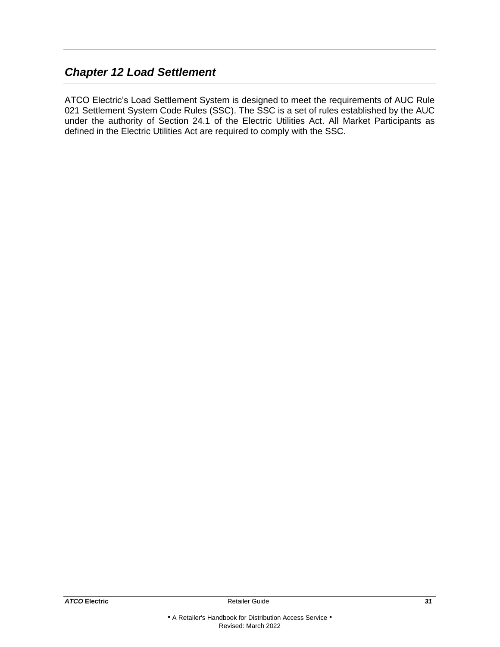# <span id="page-33-0"></span>*Chapter 12 Load Settlement*

ATCO Electric's Load Settlement System is designed to meet the requirements of AUC Rule 021 Settlement System Code Rules (SSC). The SSC is a set of rules established by the AUC under the authority of Section 24.1 of the Electric Utilities Act. All Market Participants as defined in the Electric Utilities Act are required to comply with the SSC.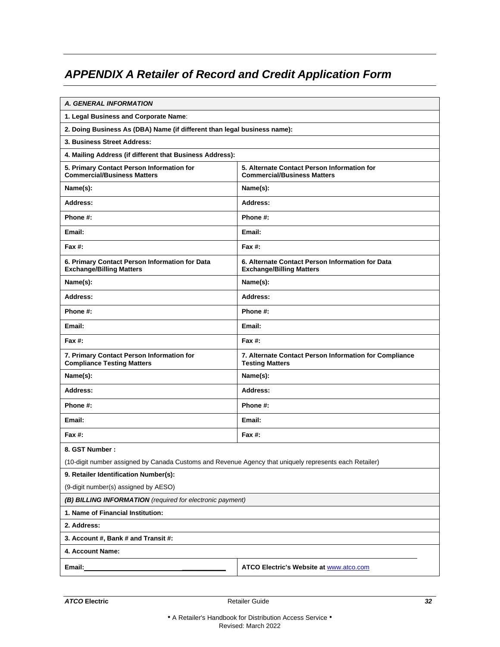# <span id="page-34-0"></span>*APPENDIX A Retailer of Record and Credit Application Form*

| A. GENERAL INFORMATION                                                                                 |                                                                                     |  |
|--------------------------------------------------------------------------------------------------------|-------------------------------------------------------------------------------------|--|
| 1. Legal Business and Corporate Name:                                                                  |                                                                                     |  |
| 2. Doing Business As (DBA) Name (if different than legal business name):                               |                                                                                     |  |
| 3. Business Street Address:                                                                            |                                                                                     |  |
| 4. Mailing Address (if different that Business Address):                                               |                                                                                     |  |
| 5. Primary Contact Person Information for<br><b>Commercial/Business Matters</b>                        | 5. Alternate Contact Person Information for<br><b>Commercial/Business Matters</b>   |  |
| Name(s):                                                                                               | Name(s):                                                                            |  |
| Address:                                                                                               | Address:                                                                            |  |
| Phone #:                                                                                               | Phone #:                                                                            |  |
| Email:                                                                                                 | Email:                                                                              |  |
| Fax #:                                                                                                 | Fax $#$ :                                                                           |  |
| 6. Primary Contact Person Information for Data<br><b>Exchange/Billing Matters</b>                      | 6. Alternate Contact Person Information for Data<br><b>Exchange/Billing Matters</b> |  |
| Name(s):                                                                                               | Name(s):                                                                            |  |
| Address:                                                                                               | Address:                                                                            |  |
| Phone #:                                                                                               | Phone #:                                                                            |  |
| Email:                                                                                                 | Email:                                                                              |  |
| Fax #:                                                                                                 | Fax $#$ :                                                                           |  |
| 7. Primary Contact Person Information for<br><b>Compliance Testing Matters</b>                         | 7. Alternate Contact Person Information for Compliance<br><b>Testing Matters</b>    |  |
| Name(s):                                                                                               | Name(s):                                                                            |  |
| Address:                                                                                               | Address:                                                                            |  |
| Phone #:                                                                                               | Phone #:                                                                            |  |
| Email:                                                                                                 | Email:                                                                              |  |
| Fax #:                                                                                                 | <b>Fax #:</b>                                                                       |  |
| 8. GST Number:                                                                                         |                                                                                     |  |
| (10-digit number assigned by Canada Customs and Revenue Agency that uniquely represents each Retailer) |                                                                                     |  |
| 9. Retailer Identification Number(s):                                                                  |                                                                                     |  |
| (9-digit number(s) assigned by AESO)                                                                   |                                                                                     |  |
| (B) BILLING INFORMATION (required for electronic payment)                                              |                                                                                     |  |
| 1. Name of Financial Institution:                                                                      |                                                                                     |  |
| 2. Address:                                                                                            |                                                                                     |  |
| 3. Account #, Bank # and Transit #:                                                                    |                                                                                     |  |
| 4. Account Name:                                                                                       |                                                                                     |  |
| Email:                                                                                                 | <b>ATCO Electric's Website at www.atco.com</b>                                      |  |
|                                                                                                        |                                                                                     |  |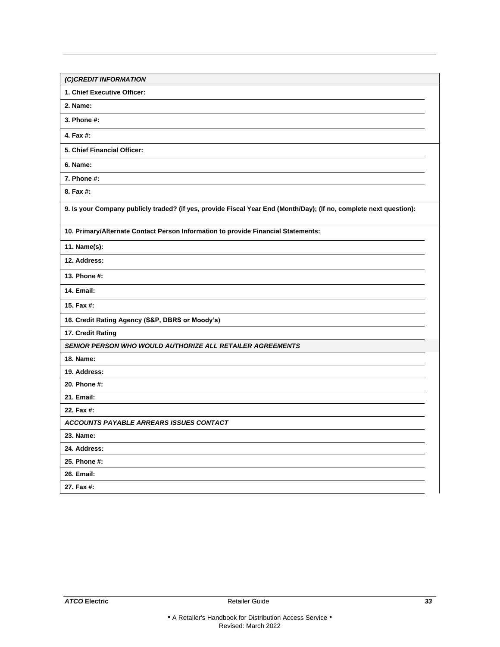| (C)CREDIT INFORMATION                                                                                              |
|--------------------------------------------------------------------------------------------------------------------|
| 1. Chief Executive Officer:                                                                                        |
| 2. Name:                                                                                                           |
| 3. Phone #:                                                                                                        |
| 4. Fax #:                                                                                                          |
| 5. Chief Financial Officer:                                                                                        |
| 6. Name:                                                                                                           |
| 7. Phone #:                                                                                                        |
| 8. Fax #:                                                                                                          |
| 9. Is your Company publicly traded? (if yes, provide Fiscal Year End (Month/Day); (If no, complete next question): |
| 10. Primary/Alternate Contact Person Information to provide Financial Statements:                                  |
| 11. Name(s):                                                                                                       |
| 12. Address:                                                                                                       |
| 13. Phone #:                                                                                                       |
| <b>14. Email:</b>                                                                                                  |
| 15. Fax #:                                                                                                         |
| 16. Credit Rating Agency (S&P, DBRS or Moody's)                                                                    |
| 17. Credit Rating                                                                                                  |
| <b>SENIOR PERSON WHO WOULD AUTHORIZE ALL RETAILER AGREEMENTS</b>                                                   |
| 18. Name:                                                                                                          |
| 19. Address:                                                                                                       |
| 20. Phone #:                                                                                                       |
| 21. Email:                                                                                                         |
| 22. Fax #:                                                                                                         |
| <b>ACCOUNTS PAYABLE ARREARS ISSUES CONTACT</b>                                                                     |
| 23. Name:                                                                                                          |
| 24. Address:                                                                                                       |
| 25. Phone #:                                                                                                       |
| <b>26. Email:</b>                                                                                                  |
| 27. Fax #:                                                                                                         |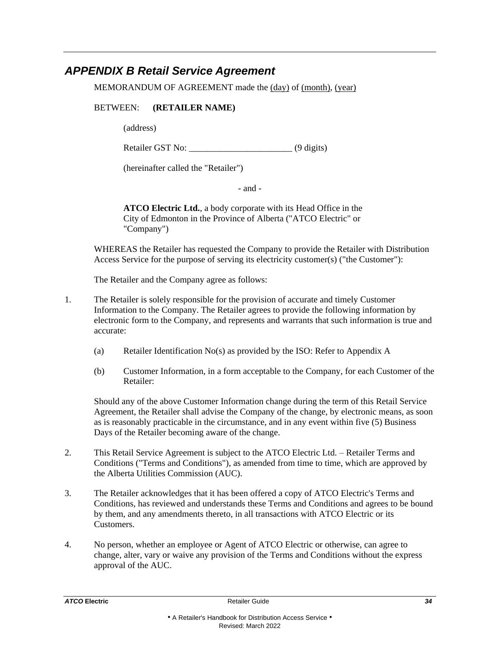# <span id="page-36-0"></span>*APPENDIX B Retail Service Agreement*

MEMORANDUM OF AGREEMENT made the (day) of (month), (year)

#### BETWEEN: **(RETAILER NAME)**

(address)

Retailer GST No: \_\_\_\_\_\_\_\_\_\_\_\_\_\_\_\_\_\_\_\_\_\_\_ (9 digits)

(hereinafter called the "Retailer")

- and -

**ATCO Electric Ltd.**, a body corporate with its Head Office in the City of Edmonton in the Province of Alberta ("ATCO Electric" or "Company")

WHEREAS the Retailer has requested the Company to provide the Retailer with Distribution Access Service for the purpose of serving its electricity customer(s) ("the Customer"):

The Retailer and the Company agree as follows:

- 1. The Retailer is solely responsible for the provision of accurate and timely Customer Information to the Company. The Retailer agrees to provide the following information by electronic form to the Company, and represents and warrants that such information is true and accurate:
	- (a) Retailer Identification No(s) as provided by the ISO: Refer to Appendix A
	- (b) Customer Information, in a form acceptable to the Company, for each Customer of the Retailer:

Should any of the above Customer Information change during the term of this Retail Service Agreement, the Retailer shall advise the Company of the change, by electronic means, as soon as is reasonably practicable in the circumstance, and in any event within five (5) Business Days of the Retailer becoming aware of the change.

- 2. This Retail Service Agreement is subject to the ATCO Electric Ltd. Retailer Terms and Conditions ("Terms and Conditions"), as amended from time to time, which are approved by the Alberta Utilities Commission (AUC).
- 3. The Retailer acknowledges that it has been offered a copy of ATCO Electric's Terms and Conditions, has reviewed and understands these Terms and Conditions and agrees to be bound by them, and any amendments thereto, in all transactions with ATCO Electric or its Customers.
- 4. No person, whether an employee or Agent of ATCO Electric or otherwise, can agree to change, alter, vary or waive any provision of the Terms and Conditions without the express approval of the AUC.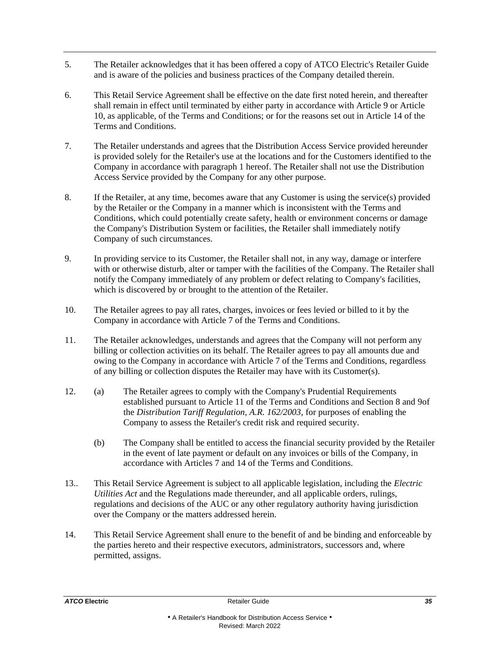- 5. The Retailer acknowledges that it has been offered a copy of ATCO Electric's Retailer Guide and is aware of the policies and business practices of the Company detailed therein.
- 6. This Retail Service Agreement shall be effective on the date first noted herein, and thereafter shall remain in effect until terminated by either party in accordance with Article 9 or Article 10, as applicable, of the Terms and Conditions; or for the reasons set out in Article 14 of the Terms and Conditions.
- 7. The Retailer understands and agrees that the Distribution Access Service provided hereunder is provided solely for the Retailer's use at the locations and for the Customers identified to the Company in accordance with paragraph 1 hereof. The Retailer shall not use the Distribution Access Service provided by the Company for any other purpose.
- 8. If the Retailer, at any time, becomes aware that any Customer is using the service(s) provided by the Retailer or the Company in a manner which is inconsistent with the Terms and Conditions, which could potentially create safety, health or environment concerns or damage the Company's Distribution System or facilities, the Retailer shall immediately notify Company of such circumstances.
- 9. In providing service to its Customer, the Retailer shall not, in any way, damage or interfere with or otherwise disturb, alter or tamper with the facilities of the Company. The Retailer shall notify the Company immediately of any problem or defect relating to Company's facilities, which is discovered by or brought to the attention of the Retailer.
- 10. The Retailer agrees to pay all rates, charges, invoices or fees levied or billed to it by the Company in accordance with Article 7 of the Terms and Conditions.
- 11. The Retailer acknowledges, understands and agrees that the Company will not perform any billing or collection activities on its behalf. The Retailer agrees to pay all amounts due and owing to the Company in accordance with Article 7 of the Terms and Conditions, regardless of any billing or collection disputes the Retailer may have with its Customer(s).
- 12. (a) The Retailer agrees to comply with the Company's Prudential Requirements established pursuant to Article 11 of the Terms and Conditions and Section 8 and 9of the *Distribution Tariff Regulation, A.R. 162/2003,* for purposes of enabling the Company to assess the Retailer's credit risk and required security.
	- (b) The Company shall be entitled to access the financial security provided by the Retailer in the event of late payment or default on any invoices or bills of the Company, in accordance with Articles 7 and 14 of the Terms and Conditions.
- 13.. This Retail Service Agreement is subject to all applicable legislation, including the *Electric Utilities Act* and the Regulations made thereunder, and all applicable orders, rulings, regulations and decisions of the AUC or any other regulatory authority having jurisdiction over the Company or the matters addressed herein.
- 14. This Retail Service Agreement shall enure to the benefit of and be binding and enforceable by the parties hereto and their respective executors, administrators, successors and, where permitted, assigns.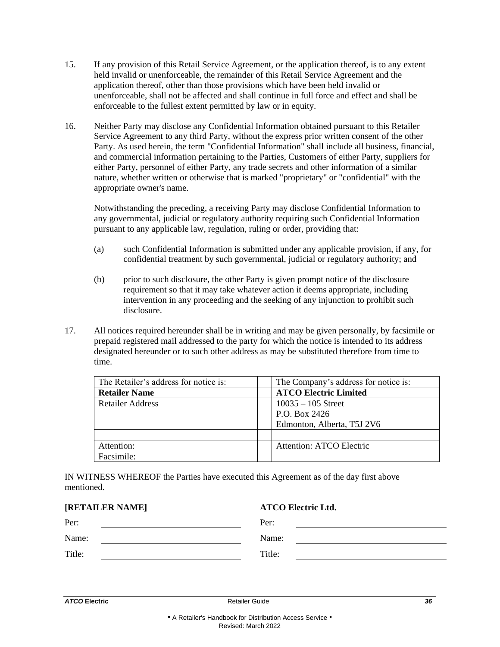- 15. If any provision of this Retail Service Agreement, or the application thereof, is to any extent held invalid or unenforceable, the remainder of this Retail Service Agreement and the application thereof, other than those provisions which have been held invalid or unenforceable, shall not be affected and shall continue in full force and effect and shall be enforceable to the fullest extent permitted by law or in equity.
- 16. Neither Party may disclose any Confidential Information obtained pursuant to this Retailer Service Agreement to any third Party, without the express prior written consent of the other Party. As used herein, the term "Confidential Information" shall include all business, financial, and commercial information pertaining to the Parties, Customers of either Party, suppliers for either Party, personnel of either Party, any trade secrets and other information of a similar nature, whether written or otherwise that is marked "proprietary" or "confidential" with the appropriate owner's name.

Notwithstanding the preceding, a receiving Party may disclose Confidential Information to any governmental, judicial or regulatory authority requiring such Confidential Information pursuant to any applicable law, regulation, ruling or order, providing that:

- (a) such Confidential Information is submitted under any applicable provision, if any, for confidential treatment by such governmental, judicial or regulatory authority; and
- (b) prior to such disclosure, the other Party is given prompt notice of the disclosure requirement so that it may take whatever action it deems appropriate, including intervention in any proceeding and the seeking of any injunction to prohibit such disclosure.
- 17. All notices required hereunder shall be in writing and may be given personally, by facsimile or prepaid registered mail addressed to the party for which the notice is intended to its address designated hereunder or to such other address as may be substituted therefore from time to time.

| The Retailer's address for notice is: | The Company's address for notice is: |
|---------------------------------------|--------------------------------------|
| <b>Retailer Name</b>                  | <b>ATCO Electric Limited</b>         |
| <b>Retailer Address</b>               | $10035 - 105$ Street                 |
|                                       | P.O. Box 2426                        |
|                                       | Edmonton, Alberta, T5J 2V6           |
|                                       |                                      |
| Attention:                            | <b>Attention: ATCO Electric</b>      |
| Facsimile:                            |                                      |

IN WITNESS WHEREOF the Parties have executed this Agreement as of the day first above mentioned.

**[RETAILER NAME] ATCO Electric Ltd.**

| <b>KETAILEK NAME</b> | A I CO Electric Ltd. |
|----------------------|----------------------|
| Per:                 | Per:                 |
| Name:                | Name:                |
| Title:               | Title:               |
|                      |                      |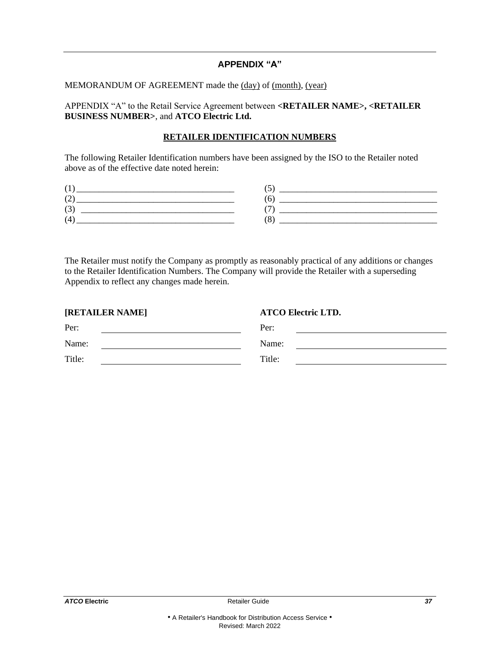#### **APPENDIX "A"**

#### MEMORANDUM OF AGREEMENT made the (day) of (month), (year)

APPENDIX "A" to the Retail Service Agreement between **<RETAILER NAME>, <RETAILER BUSINESS NUMBER>**, and **ATCO Electric Ltd.**

#### **RETAILER IDENTIFICATION NUMBERS**

The following Retailer Identification numbers have been assigned by the ISO to the Retailer noted above as of the effective date noted herein:

| - |  |
|---|--|
|   |  |

The Retailer must notify the Company as promptly as reasonably practical of any additions or changes to the Retailer Identification Numbers. The Company will provide the Retailer with a superseding Appendix to reflect any changes made herein.

| [RETAILER NAME] | <b>ATCO Electric LTD.</b> |
|-----------------|---------------------------|
| Per:            | Per:                      |
| Name:           | Name:                     |
| Title:          | Title:                    |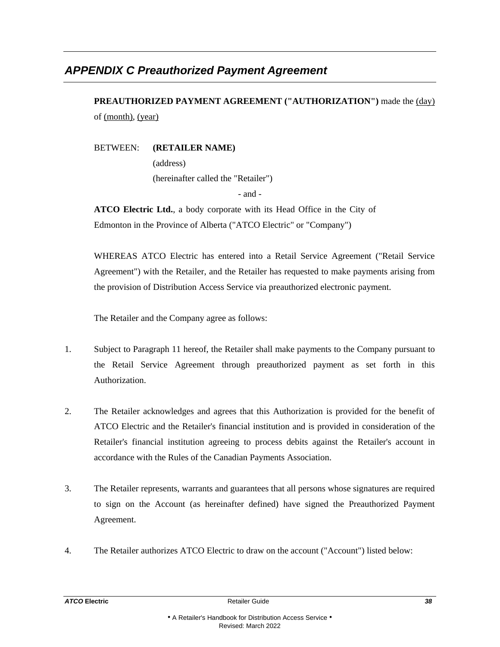# <span id="page-40-0"></span>*APPENDIX C Preauthorized Payment Agreement*

**PREAUTHORIZED PAYMENT AGREEMENT ("AUTHORIZATION")** made the (day) of (month), (year)

BETWEEN: **(RETAILER NAME)**

(address) (hereinafter called the "Retailer") - and -

**ATCO Electric Ltd.**, a body corporate with its Head Office in the City of Edmonton in the Province of Alberta ("ATCO Electric" or "Company")

WHEREAS ATCO Electric has entered into a Retail Service Agreement ("Retail Service Agreement") with the Retailer, and the Retailer has requested to make payments arising from the provision of Distribution Access Service via preauthorized electronic payment.

The Retailer and the Company agree as follows:

- 1. Subject to Paragraph 11 hereof, the Retailer shall make payments to the Company pursuant to the Retail Service Agreement through preauthorized payment as set forth in this Authorization.
- 2. The Retailer acknowledges and agrees that this Authorization is provided for the benefit of ATCO Electric and the Retailer's financial institution and is provided in consideration of the Retailer's financial institution agreeing to process debits against the Retailer's account in accordance with the Rules of the Canadian Payments Association.
- 3. The Retailer represents, warrants and guarantees that all persons whose signatures are required to sign on the Account (as hereinafter defined) have signed the Preauthorized Payment Agreement.
- 4. The Retailer authorizes ATCO Electric to draw on the account ("Account") listed below: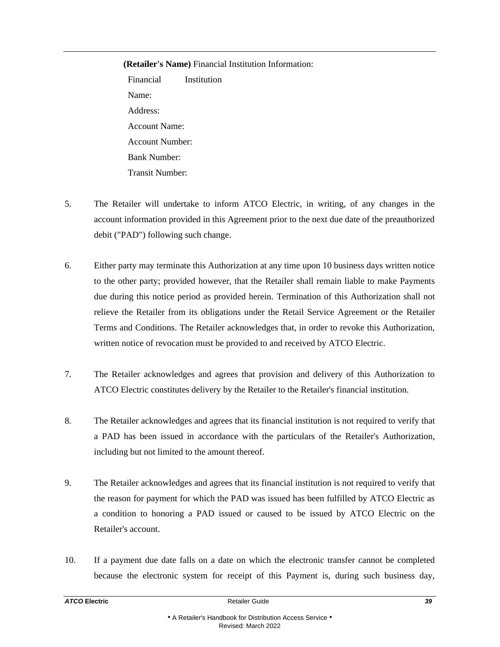#### **(Retailer's Name)** Financial Institution Information:

Financial Institution Name: Address: Account Name: Account Number: Bank Number: Transit Number:

- 5. The Retailer will undertake to inform ATCO Electric, in writing, of any changes in the account information provided in this Agreement prior to the next due date of the preauthorized debit ("PAD") following such change.
- 6. Either party may terminate this Authorization at any time upon 10 business days written notice to the other party; provided however, that the Retailer shall remain liable to make Payments due during this notice period as provided herein. Termination of this Authorization shall not relieve the Retailer from its obligations under the Retail Service Agreement or the Retailer Terms and Conditions. The Retailer acknowledges that, in order to revoke this Authorization, written notice of revocation must be provided to and received by ATCO Electric.
- 7. The Retailer acknowledges and agrees that provision and delivery of this Authorization to ATCO Electric constitutes delivery by the Retailer to the Retailer's financial institution.
- 8. The Retailer acknowledges and agrees that its financial institution is not required to verify that a PAD has been issued in accordance with the particulars of the Retailer's Authorization, including but not limited to the amount thereof.
- 9. The Retailer acknowledges and agrees that its financial institution is not required to verify that the reason for payment for which the PAD was issued has been fulfilled by ATCO Electric as a condition to honoring a PAD issued or caused to be issued by ATCO Electric on the Retailer's account.
- 10. If a payment due date falls on a date on which the electronic transfer cannot be completed because the electronic system for receipt of this Payment is, during such business day,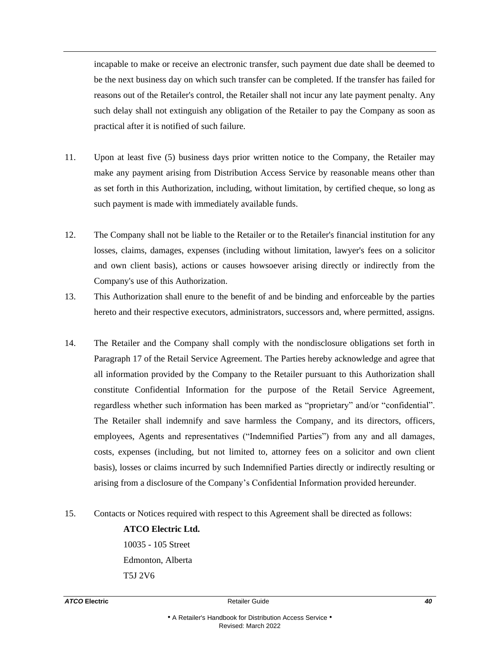incapable to make or receive an electronic transfer, such payment due date shall be deemed to be the next business day on which such transfer can be completed. If the transfer has failed for reasons out of the Retailer's control, the Retailer shall not incur any late payment penalty. Any such delay shall not extinguish any obligation of the Retailer to pay the Company as soon as practical after it is notified of such failure.

- 11. Upon at least five (5) business days prior written notice to the Company, the Retailer may make any payment arising from Distribution Access Service by reasonable means other than as set forth in this Authorization, including, without limitation, by certified cheque, so long as such payment is made with immediately available funds.
- 12. The Company shall not be liable to the Retailer or to the Retailer's financial institution for any losses, claims, damages, expenses (including without limitation, lawyer's fees on a solicitor and own client basis), actions or causes howsoever arising directly or indirectly from the Company's use of this Authorization.
- 13. This Authorization shall enure to the benefit of and be binding and enforceable by the parties hereto and their respective executors, administrators, successors and, where permitted, assigns.
- 14. The Retailer and the Company shall comply with the nondisclosure obligations set forth in Paragraph 17 of the Retail Service Agreement. The Parties hereby acknowledge and agree that all information provided by the Company to the Retailer pursuant to this Authorization shall constitute Confidential Information for the purpose of the Retail Service Agreement, regardless whether such information has been marked as "proprietary" and/or "confidential". The Retailer shall indemnify and save harmless the Company, and its directors, officers, employees, Agents and representatives ("Indemnified Parties") from any and all damages, costs, expenses (including, but not limited to, attorney fees on a solicitor and own client basis), losses or claims incurred by such Indemnified Parties directly or indirectly resulting or arising from a disclosure of the Company's Confidential Information provided hereunder.
- 15. Contacts or Notices required with respect to this Agreement shall be directed as follows:

#### **ATCO Electric Ltd.**

10035 - 105 Street Edmonton, Alberta T5J 2V6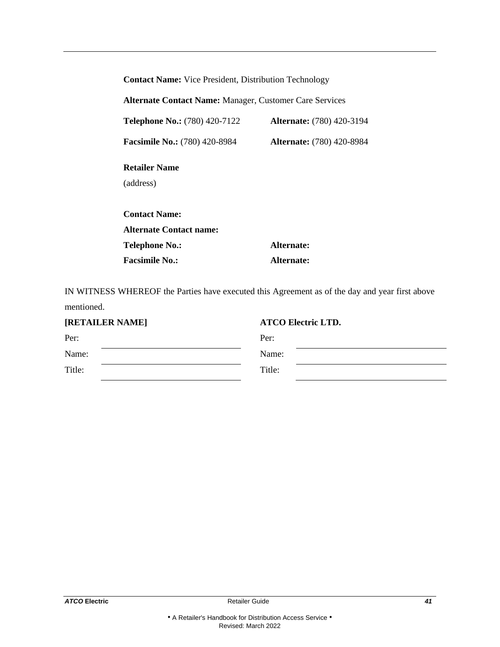| <b>Contact Name:</b> Vice President, Distribution Technology   |                                  |  |
|----------------------------------------------------------------|----------------------------------|--|
| <b>Alternate Contact Name: Manager, Customer Care Services</b> |                                  |  |
| <b>Telephone No.:</b> (780) 420-7122                           | <b>Alternate:</b> (780) 420-3194 |  |
| <b>Facsimile No.:</b> (780) 420-8984                           | <b>Alternate:</b> (780) 420-8984 |  |
| <b>Retailer Name</b><br>(address)                              |                                  |  |
| <b>Contact Name:</b><br><b>Alternate Contact name:</b>         |                                  |  |
| Telephone No.:                                                 | Alternate:                       |  |
| <b>Facsimile No.:</b>                                          | Alternate:                       |  |

IN WITNESS WHEREOF the Parties have executed this Agreement as of the day and year first above mentioned.

| [RETAILER NAME] | <b>ATCO Electric LTD.</b> |
|-----------------|---------------------------|
| Per:            | Per:                      |
| Name:           | Name:                     |
| Title:          | Title:                    |
|                 |                           |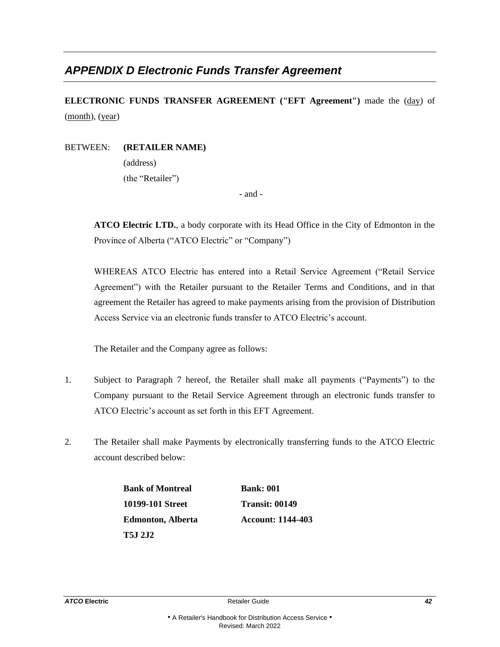# <span id="page-44-0"></span>*APPENDIX D Electronic Funds Transfer Agreement*

**ELECTRONIC FUNDS TRANSFER AGREEMENT ("EFT Agreement")** made the (day) of (month), (year)

#### BETWEEN: **(RETAILER NAME)**

(address) (the "Retailer")

- and -

**ATCO Electric LTD.**, a body corporate with its Head Office in the City of Edmonton in the Province of Alberta ("ATCO Electric" or "Company")

WHEREAS ATCO Electric has entered into a Retail Service Agreement ("Retail Service Agreement") with the Retailer pursuant to the Retailer Terms and Conditions, and in that agreement the Retailer has agreed to make payments arising from the provision of Distribution Access Service via an electronic funds transfer to ATCO Electric's account.

The Retailer and the Company agree as follows:

- 1. Subject to Paragraph 7 hereof, the Retailer shall make all payments ("Payments") to the Company pursuant to the Retail Service Agreement through an electronic funds transfer to ATCO Electric's account as set forth in this EFT Agreement.
- 2. The Retailer shall make Payments by electronically transferring funds to the ATCO Electric account described below:

**Bank of Montreal Bank: 001 10199-101 Street Transit: 00149 Edmonton, Alberta Account: 1144-403 T5J 2J2**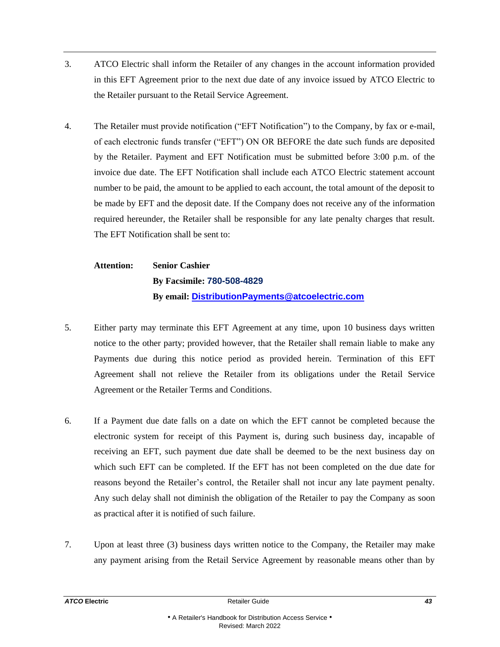- 3. ATCO Electric shall inform the Retailer of any changes in the account information provided in this EFT Agreement prior to the next due date of any invoice issued by ATCO Electric to the Retailer pursuant to the Retail Service Agreement.
- 4. The Retailer must provide notification ("EFT Notification") to the Company, by fax or e-mail, of each electronic funds transfer ("EFT") ON OR BEFORE the date such funds are deposited by the Retailer. Payment and EFT Notification must be submitted before 3:00 p.m. of the invoice due date. The EFT Notification shall include each ATCO Electric statement account number to be paid, the amount to be applied to each account, the total amount of the deposit to be made by EFT and the deposit date. If the Company does not receive any of the information required hereunder, the Retailer shall be responsible for any late penalty charges that result. The EFT Notification shall be sent to:

**Attention: Senior Cashier By Facsimile: 780-508-4829 By email: [DistributionPayments@atcoelectric.com](mailto:DistributionPayments@atcoelectric.com)**

- 5. Either party may terminate this EFT Agreement at any time, upon 10 business days written notice to the other party; provided however, that the Retailer shall remain liable to make any Payments due during this notice period as provided herein. Termination of this EFT Agreement shall not relieve the Retailer from its obligations under the Retail Service Agreement or the Retailer Terms and Conditions.
- 6. If a Payment due date falls on a date on which the EFT cannot be completed because the electronic system for receipt of this Payment is, during such business day, incapable of receiving an EFT, such payment due date shall be deemed to be the next business day on which such EFT can be completed. If the EFT has not been completed on the due date for reasons beyond the Retailer's control, the Retailer shall not incur any late payment penalty. Any such delay shall not diminish the obligation of the Retailer to pay the Company as soon as practical after it is notified of such failure.
- 7. Upon at least three (3) business days written notice to the Company, the Retailer may make any payment arising from the Retail Service Agreement by reasonable means other than by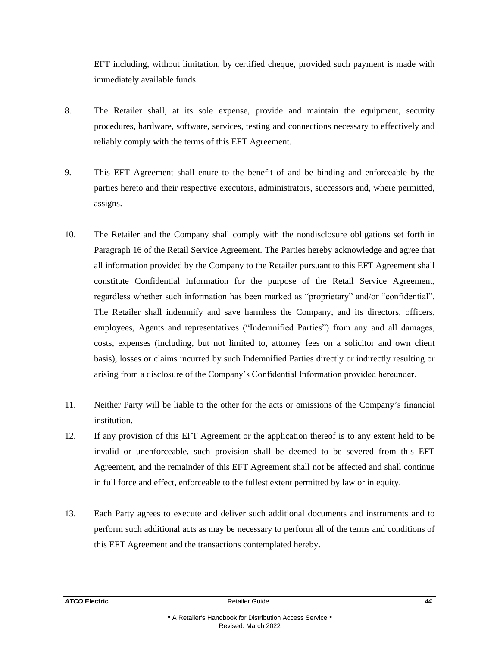EFT including, without limitation, by certified cheque, provided such payment is made with immediately available funds.

- 8. The Retailer shall, at its sole expense, provide and maintain the equipment, security procedures, hardware, software, services, testing and connections necessary to effectively and reliably comply with the terms of this EFT Agreement.
- 9. This EFT Agreement shall enure to the benefit of and be binding and enforceable by the parties hereto and their respective executors, administrators, successors and, where permitted, assigns.
- 10. The Retailer and the Company shall comply with the nondisclosure obligations set forth in Paragraph 16 of the Retail Service Agreement. The Parties hereby acknowledge and agree that all information provided by the Company to the Retailer pursuant to this EFT Agreement shall constitute Confidential Information for the purpose of the Retail Service Agreement, regardless whether such information has been marked as "proprietary" and/or "confidential". The Retailer shall indemnify and save harmless the Company, and its directors, officers, employees, Agents and representatives ("Indemnified Parties") from any and all damages, costs, expenses (including, but not limited to, attorney fees on a solicitor and own client basis), losses or claims incurred by such Indemnified Parties directly or indirectly resulting or arising from a disclosure of the Company's Confidential Information provided hereunder.
- 11. Neither Party will be liable to the other for the acts or omissions of the Company's financial institution.
- 12. If any provision of this EFT Agreement or the application thereof is to any extent held to be invalid or unenforceable, such provision shall be deemed to be severed from this EFT Agreement, and the remainder of this EFT Agreement shall not be affected and shall continue in full force and effect, enforceable to the fullest extent permitted by law or in equity.
- 13. Each Party agrees to execute and deliver such additional documents and instruments and to perform such additional acts as may be necessary to perform all of the terms and conditions of this EFT Agreement and the transactions contemplated hereby.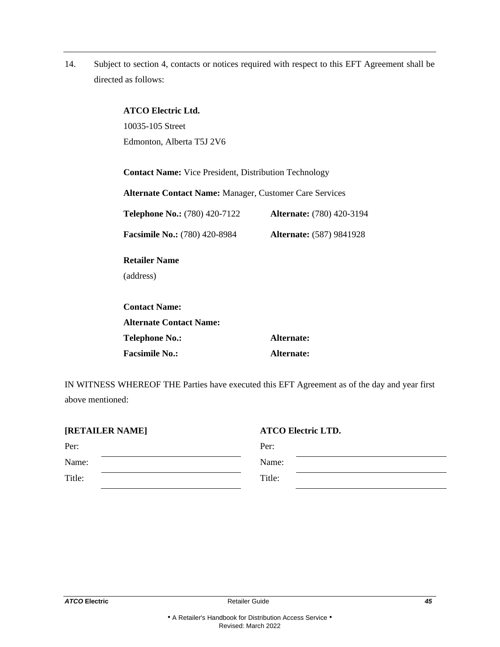14. Subject to section 4, contacts or notices required with respect to this EFT Agreement shall be directed as follows:

| <b>ATCO Electric Ltd.</b><br>10035-105 Street<br>Edmonton, Alberta T5J 2V6                                                     |                                  |  |
|--------------------------------------------------------------------------------------------------------------------------------|----------------------------------|--|
| <b>Contact Name:</b> Vice President, Distribution Technology<br><b>Alternate Contact Name: Manager, Customer Care Services</b> |                                  |  |
| <b>Telephone No.:</b> (780) 420-7122                                                                                           | <b>Alternate:</b> (780) 420-3194 |  |
| <b>Facsimile No.:</b> (780) 420-8984                                                                                           | <b>Alternate:</b> (587) 9841928  |  |
| <b>Retailer Name</b>                                                                                                           |                                  |  |
| (address)                                                                                                                      |                                  |  |
| <b>Contact Name:</b>                                                                                                           |                                  |  |
| <b>Alternate Contact Name:</b>                                                                                                 |                                  |  |
| <b>Telephone No.:</b>                                                                                                          | Alternate:                       |  |
| <b>Facsimile No.:</b>                                                                                                          | Alternate:                       |  |

IN WITNESS WHEREOF THE Parties have executed this EFT Agreement as of the day and year first above mentioned:

| Per:<br>Per:     | [RETAILER NAME] | <b>ATCO Electric LTD.</b> |
|------------------|-----------------|---------------------------|
|                  |                 |                           |
|                  | Name:           | Name:                     |
| Title:<br>Title: |                 |                           |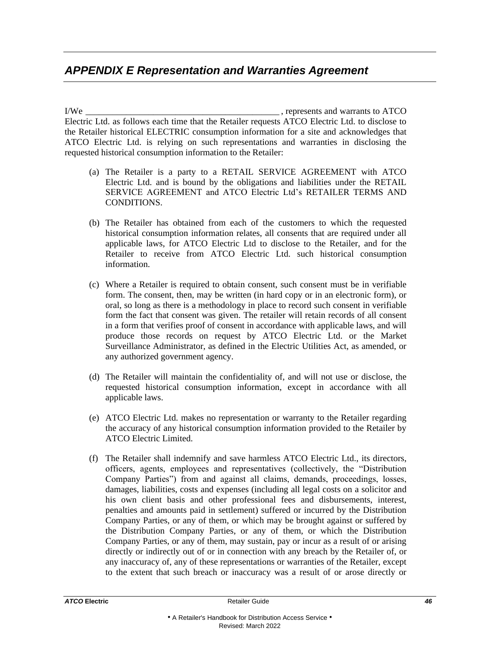# <span id="page-48-0"></span>*APPENDIX E Representation and Warranties Agreement*

I/We \_\_\_\_\_\_\_\_\_\_\_\_\_\_\_\_\_\_\_\_\_\_\_\_\_\_\_\_\_\_\_\_\_\_\_\_\_\_\_\_\_\_\_ , represents and warrants to ATCO Electric Ltd. as follows each time that the Retailer requests ATCO Electric Ltd. to disclose to the Retailer historical ELECTRIC consumption information for a site and acknowledges that ATCO Electric Ltd. is relying on such representations and warranties in disclosing the requested historical consumption information to the Retailer:

- (a) The Retailer is a party to a RETAIL SERVICE AGREEMENT with ATCO Electric Ltd. and is bound by the obligations and liabilities under the RETAIL SERVICE AGREEMENT and ATCO Electric Ltd's RETAILER TERMS AND CONDITIONS.
- (b) The Retailer has obtained from each of the customers to which the requested historical consumption information relates, all consents that are required under all applicable laws, for ATCO Electric Ltd to disclose to the Retailer, and for the Retailer to receive from ATCO Electric Ltd. such historical consumption information.
- (c) Where a Retailer is required to obtain consent, such consent must be in verifiable form. The consent, then, may be written (in hard copy or in an electronic form), or oral, so long as there is a methodology in place to record such consent in verifiable form the fact that consent was given. The retailer will retain records of all consent in a form that verifies proof of consent in accordance with applicable laws, and will produce those records on request by ATCO Electric Ltd. or the Market Surveillance Administrator, as defined in the Electric Utilities Act, as amended, or any authorized government agency.
- (d) The Retailer will maintain the confidentiality of, and will not use or disclose, the requested historical consumption information, except in accordance with all applicable laws.
- (e) ATCO Electric Ltd. makes no representation or warranty to the Retailer regarding the accuracy of any historical consumption information provided to the Retailer by ATCO Electric Limited.
- (f) The Retailer shall indemnify and save harmless ATCO Electric Ltd., its directors, officers, agents, employees and representatives (collectively, the "Distribution Company Parties") from and against all claims, demands, proceedings, losses, damages, liabilities, costs and expenses (including all legal costs on a solicitor and his own client basis and other professional fees and disbursements, interest, penalties and amounts paid in settlement) suffered or incurred by the Distribution Company Parties, or any of them, or which may be brought against or suffered by the Distribution Company Parties, or any of them, or which the Distribution Company Parties, or any of them, may sustain, pay or incur as a result of or arising directly or indirectly out of or in connection with any breach by the Retailer of, or any inaccuracy of, any of these representations or warranties of the Retailer, except to the extent that such breach or inaccuracy was a result of or arose directly or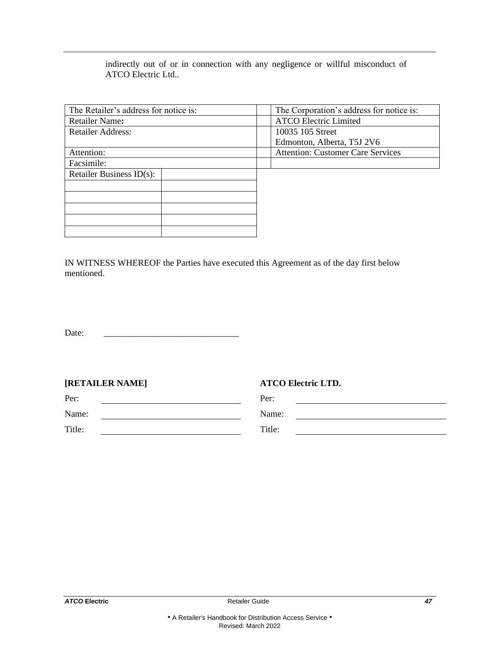indirectly out of or in connection with any negligence or willful misconduct of ATCO Electric Ltd..

| The Corporation's address for notice is: |  |  |
|------------------------------------------|--|--|
| <b>ATCO Electric Limited</b>             |  |  |
| 10035 105 Street                         |  |  |
| Edmonton, Alberta, T5J 2V6               |  |  |
| <b>Attention: Customer Care Services</b> |  |  |
|                                          |  |  |
|                                          |  |  |
|                                          |  |  |
|                                          |  |  |
|                                          |  |  |
|                                          |  |  |
|                                          |  |  |
|                                          |  |  |

IN WITNESS WHEREOF the Parties have executed this Agreement as of the day first below mentioned.

Date:

| [RETAILER NAME] |  |
|-----------------|--|
|-----------------|--|

**[RETAILER NAME] ATCO Electric LTD.**

| Per:   | Per:   |
|--------|--------|
| Name:  | Name:  |
| Title: | Title: |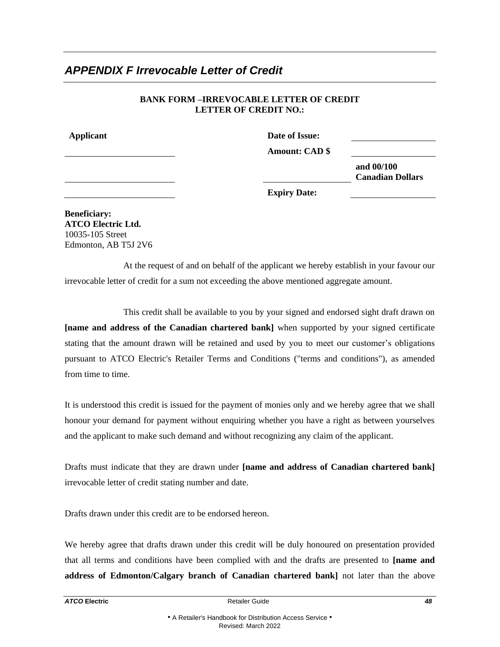# <span id="page-50-0"></span>*APPENDIX F Irrevocable Letter of Credit*

#### **BANK FORM –IRREVOCABLE LETTER OF CREDIT LETTER OF CREDIT NO.:**

**Applicant Date of Issue:**

**Amount: CAD \$**

**and 00/100 Canadian Dollars**

**Expiry Date:**

**Beneficiary: ATCO Electric Ltd.** 10035-105 Street Edmonton, AB T5J 2V6

At the request of and on behalf of the applicant we hereby establish in your favour our irrevocable letter of credit for a sum not exceeding the above mentioned aggregate amount.

This credit shall be available to you by your signed and endorsed sight draft drawn on **[name and address of the Canadian chartered bank]** when supported by your signed certificate stating that the amount drawn will be retained and used by you to meet our customer's obligations pursuant to ATCO Electric's Retailer Terms and Conditions ("terms and conditions"), as amended from time to time.

It is understood this credit is issued for the payment of monies only and we hereby agree that we shall honour your demand for payment without enquiring whether you have a right as between yourselves and the applicant to make such demand and without recognizing any claim of the applicant.

Drafts must indicate that they are drawn under **[name and address of Canadian chartered bank]** irrevocable letter of credit stating number and date.

Drafts drawn under this credit are to be endorsed hereon.

We hereby agree that drafts drawn under this credit will be duly honoured on presentation provided that all terms and conditions have been complied with and the drafts are presented to **[name and address of Edmonton/Calgary branch of Canadian chartered bank]** not later than the above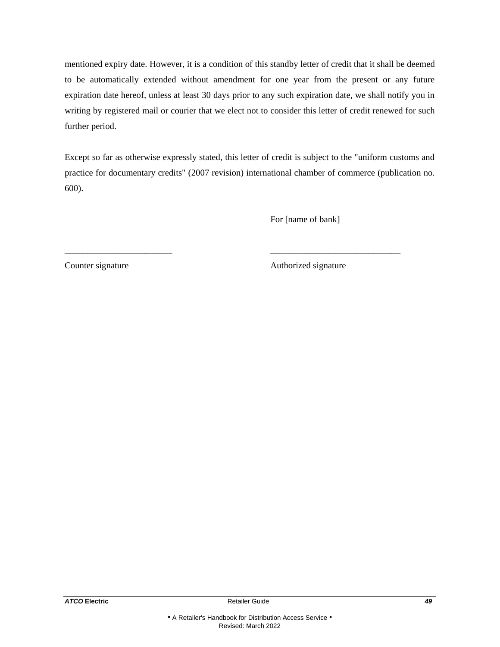mentioned expiry date. However, it is a condition of this standby letter of credit that it shall be deemed to be automatically extended without amendment for one year from the present or any future expiration date hereof, unless at least 30 days prior to any such expiration date, we shall notify you in writing by registered mail or courier that we elect not to consider this letter of credit renewed for such further period.

Except so far as otherwise expressly stated, this letter of credit is subject to the "uniform customs and practice for documentary credits" (2007 revision) international chamber of commerce (publication no. 600).

\_\_\_\_\_\_\_\_\_\_\_\_\_\_\_\_\_\_\_\_\_\_\_\_ \_\_\_\_\_\_\_\_\_\_\_\_\_\_\_\_\_\_\_\_\_\_\_\_\_\_\_\_\_

For [name of bank]

Counter signature Authorized signature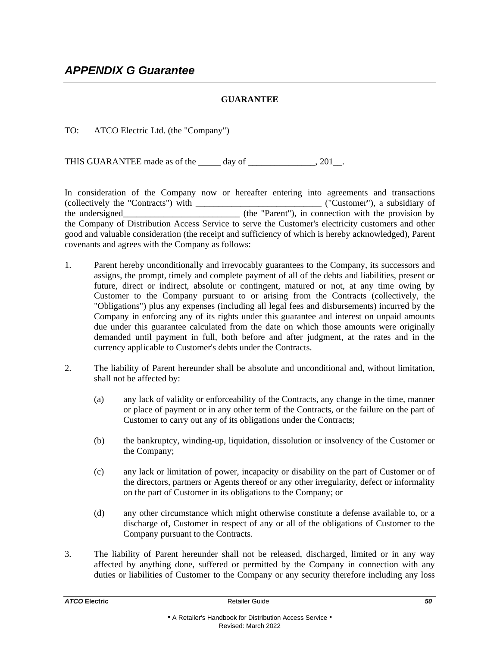### **GUARANTEE**

<span id="page-52-0"></span>TO: ATCO Electric Ltd. (the "Company")

THIS GUARANTEE made as of the \_\_\_\_\_ day of \_\_\_\_\_\_\_\_\_\_\_\_\_\_, 201\_\_.

In consideration of the Company now or hereafter entering into agreements and transactions  $(collectively the "Contracts") with$ the undersigned\_\_\_\_\_\_\_\_\_\_\_\_\_\_\_\_\_\_\_\_\_\_\_\_\_\_ (the "Parent"), in connection with the provision by the Company of Distribution Access Service to serve the Customer's electricity customers and other good and valuable consideration (the receipt and sufficiency of which is hereby acknowledged), Parent covenants and agrees with the Company as follows:

- 1. Parent hereby unconditionally and irrevocably guarantees to the Company, its successors and assigns, the prompt, timely and complete payment of all of the debts and liabilities, present or future, direct or indirect, absolute or contingent, matured or not, at any time owing by Customer to the Company pursuant to or arising from the Contracts (collectively, the "Obligations") plus any expenses (including all legal fees and disbursements) incurred by the Company in enforcing any of its rights under this guarantee and interest on unpaid amounts due under this guarantee calculated from the date on which those amounts were originally demanded until payment in full, both before and after judgment, at the rates and in the currency applicable to Customer's debts under the Contracts.
- 2. The liability of Parent hereunder shall be absolute and unconditional and, without limitation, shall not be affected by:
	- (a) any lack of validity or enforceability of the Contracts, any change in the time, manner or place of payment or in any other term of the Contracts, or the failure on the part of Customer to carry out any of its obligations under the Contracts;
	- (b) the bankruptcy, winding-up, liquidation, dissolution or insolvency of the Customer or the Company;
	- (c) any lack or limitation of power, incapacity or disability on the part of Customer or of the directors, partners or Agents thereof or any other irregularity, defect or informality on the part of Customer in its obligations to the Company; or
	- (d) any other circumstance which might otherwise constitute a defense available to, or a discharge of, Customer in respect of any or all of the obligations of Customer to the Company pursuant to the Contracts.
- 3. The liability of Parent hereunder shall not be released, discharged, limited or in any way affected by anything done, suffered or permitted by the Company in connection with any duties or liabilities of Customer to the Company or any security therefore including any loss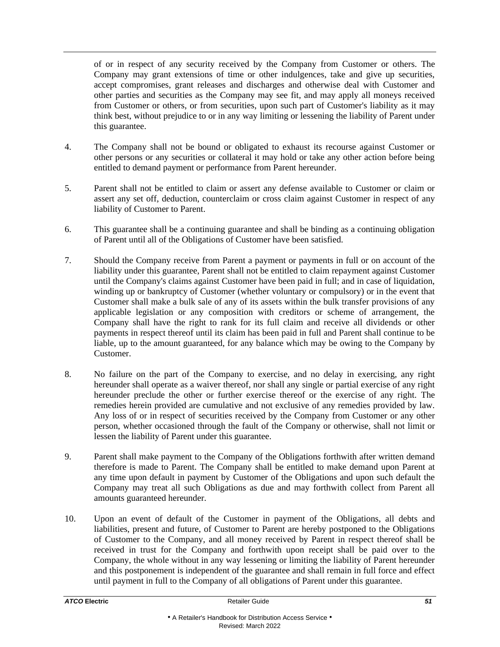of or in respect of any security received by the Company from Customer or others. The Company may grant extensions of time or other indulgences, take and give up securities, accept compromises, grant releases and discharges and otherwise deal with Customer and other parties and securities as the Company may see fit, and may apply all moneys received from Customer or others, or from securities, upon such part of Customer's liability as it may think best, without prejudice to or in any way limiting or lessening the liability of Parent under this guarantee.

- 4. The Company shall not be bound or obligated to exhaust its recourse against Customer or other persons or any securities or collateral it may hold or take any other action before being entitled to demand payment or performance from Parent hereunder.
- 5. Parent shall not be entitled to claim or assert any defense available to Customer or claim or assert any set off, deduction, counterclaim or cross claim against Customer in respect of any liability of Customer to Parent.
- 6. This guarantee shall be a continuing guarantee and shall be binding as a continuing obligation of Parent until all of the Obligations of Customer have been satisfied.
- 7. Should the Company receive from Parent a payment or payments in full or on account of the liability under this guarantee, Parent shall not be entitled to claim repayment against Customer until the Company's claims against Customer have been paid in full; and in case of liquidation, winding up or bankruptcy of Customer (whether voluntary or compulsory) or in the event that Customer shall make a bulk sale of any of its assets within the bulk transfer provisions of any applicable legislation or any composition with creditors or scheme of arrangement, the Company shall have the right to rank for its full claim and receive all dividends or other payments in respect thereof until its claim has been paid in full and Parent shall continue to be liable, up to the amount guaranteed, for any balance which may be owing to the Company by Customer.
- 8. No failure on the part of the Company to exercise, and no delay in exercising, any right hereunder shall operate as a waiver thereof, nor shall any single or partial exercise of any right hereunder preclude the other or further exercise thereof or the exercise of any right. The remedies herein provided are cumulative and not exclusive of any remedies provided by law. Any loss of or in respect of securities received by the Company from Customer or any other person, whether occasioned through the fault of the Company or otherwise, shall not limit or lessen the liability of Parent under this guarantee.
- 9. Parent shall make payment to the Company of the Obligations forthwith after written demand therefore is made to Parent. The Company shall be entitled to make demand upon Parent at any time upon default in payment by Customer of the Obligations and upon such default the Company may treat all such Obligations as due and may forthwith collect from Parent all amounts guaranteed hereunder.
- 10. Upon an event of default of the Customer in payment of the Obligations, all debts and liabilities, present and future, of Customer to Parent are hereby postponed to the Obligations of Customer to the Company, and all money received by Parent in respect thereof shall be received in trust for the Company and forthwith upon receipt shall be paid over to the Company, the whole without in any way lessening or limiting the liability of Parent hereunder and this postponement is independent of the guarantee and shall remain in full force and effect until payment in full to the Company of all obligations of Parent under this guarantee.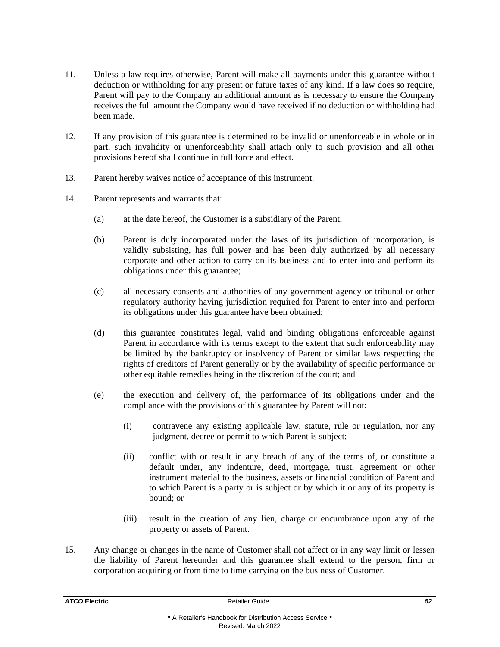- 11. Unless a law requires otherwise, Parent will make all payments under this guarantee without deduction or withholding for any present or future taxes of any kind. If a law does so require, Parent will pay to the Company an additional amount as is necessary to ensure the Company receives the full amount the Company would have received if no deduction or withholding had been made.
- 12. If any provision of this guarantee is determined to be invalid or unenforceable in whole or in part, such invalidity or unenforceability shall attach only to such provision and all other provisions hereof shall continue in full force and effect.
- 13. Parent hereby waives notice of acceptance of this instrument.
- 14. Parent represents and warrants that:
	- (a) at the date hereof, the Customer is a subsidiary of the Parent;
	- (b) Parent is duly incorporated under the laws of its jurisdiction of incorporation, is validly subsisting, has full power and has been duly authorized by all necessary corporate and other action to carry on its business and to enter into and perform its obligations under this guarantee;
	- (c) all necessary consents and authorities of any government agency or tribunal or other regulatory authority having jurisdiction required for Parent to enter into and perform its obligations under this guarantee have been obtained;
	- (d) this guarantee constitutes legal, valid and binding obligations enforceable against Parent in accordance with its terms except to the extent that such enforceability may be limited by the bankruptcy or insolvency of Parent or similar laws respecting the rights of creditors of Parent generally or by the availability of specific performance or other equitable remedies being in the discretion of the court; and
	- (e) the execution and delivery of, the performance of its obligations under and the compliance with the provisions of this guarantee by Parent will not:
		- (i) contravene any existing applicable law, statute, rule or regulation, nor any judgment, decree or permit to which Parent is subject;
		- (ii) conflict with or result in any breach of any of the terms of, or constitute a default under, any indenture, deed, mortgage, trust, agreement or other instrument material to the business, assets or financial condition of Parent and to which Parent is a party or is subject or by which it or any of its property is bound; or
		- (iii) result in the creation of any lien, charge or encumbrance upon any of the property or assets of Parent.
- 15. Any change or changes in the name of Customer shall not affect or in any way limit or lessen the liability of Parent hereunder and this guarantee shall extend to the person, firm or corporation acquiring or from time to time carrying on the business of Customer.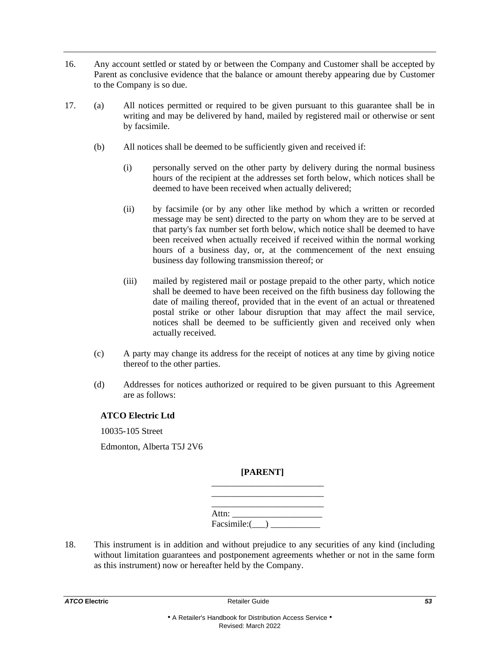- 16. Any account settled or stated by or between the Company and Customer shall be accepted by Parent as conclusive evidence that the balance or amount thereby appearing due by Customer to the Company is so due.
- 17. (a) All notices permitted or required to be given pursuant to this guarantee shall be in writing and may be delivered by hand, mailed by registered mail or otherwise or sent by facsimile.
	- (b) All notices shall be deemed to be sufficiently given and received if:
		- (i) personally served on the other party by delivery during the normal business hours of the recipient at the addresses set forth below, which notices shall be deemed to have been received when actually delivered;
		- (ii) by facsimile (or by any other like method by which a written or recorded message may be sent) directed to the party on whom they are to be served at that party's fax number set forth below, which notice shall be deemed to have been received when actually received if received within the normal working hours of a business day, or, at the commencement of the next ensuing business day following transmission thereof; or
		- (iii) mailed by registered mail or postage prepaid to the other party, which notice shall be deemed to have been received on the fifth business day following the date of mailing thereof, provided that in the event of an actual or threatened postal strike or other labour disruption that may affect the mail service, notices shall be deemed to be sufficiently given and received only when actually received.
	- (c) A party may change its address for the receipt of notices at any time by giving notice thereof to the other parties.
	- (d) Addresses for notices authorized or required to be given pursuant to this Agreement are as follows:

#### **ATCO Electric Ltd**

10035-105 Street

Edmonton, Alberta T5J 2V6

#### **[PARENT]** \_\_\_\_\_\_\_\_\_\_\_\_\_\_\_\_\_\_\_\_\_\_\_\_\_

| Attn:       |  |  |
|-------------|--|--|
| Facsimile:( |  |  |

18. This instrument is in addition and without prejudice to any securities of any kind (including without limitation guarantees and postponement agreements whether or not in the same form as this instrument) now or hereafter held by the Company.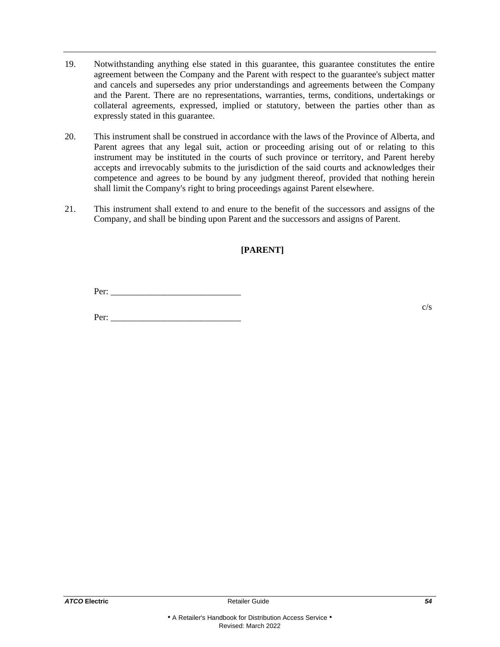- 19. Notwithstanding anything else stated in this guarantee, this guarantee constitutes the entire agreement between the Company and the Parent with respect to the guarantee's subject matter and cancels and supersedes any prior understandings and agreements between the Company and the Parent. There are no representations, warranties, terms, conditions, undertakings or collateral agreements, expressed, implied or statutory, between the parties other than as expressly stated in this guarantee.
- 20. This instrument shall be construed in accordance with the laws of the Province of Alberta, and Parent agrees that any legal suit, action or proceeding arising out of or relating to this instrument may be instituted in the courts of such province or territory, and Parent hereby accepts and irrevocably submits to the jurisdiction of the said courts and acknowledges their competence and agrees to be bound by any judgment thereof, provided that nothing herein shall limit the Company's right to bring proceedings against Parent elsewhere.
- 21. This instrument shall extend to and enure to the benefit of the successors and assigns of the Company, and shall be binding upon Parent and the successors and assigns of Parent.

# **[PARENT]**

Per: \_\_\_\_\_\_\_\_\_\_\_\_\_\_\_\_\_\_\_\_\_\_\_\_\_\_\_\_\_

Per: \_\_\_\_\_\_\_\_\_\_\_\_\_\_\_\_\_\_\_\_\_\_\_\_\_\_\_\_\_

c/s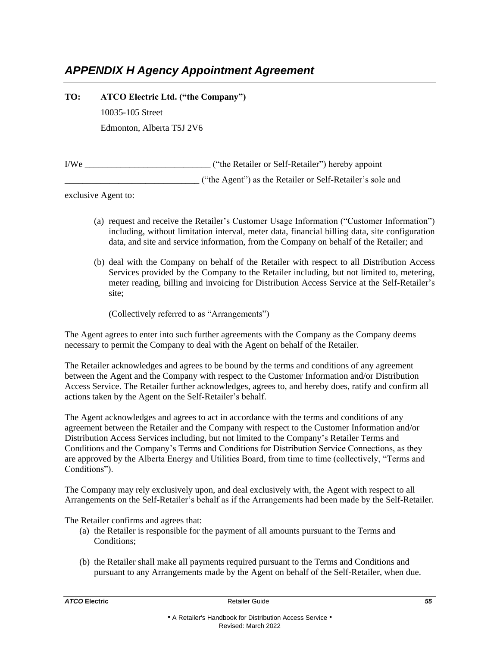# <span id="page-57-0"></span>*APPENDIX H Agency Appointment Agreement*

**TO: ATCO Electric Ltd. ("the Company")** 10035-105 Street Edmonton, Alberta T5J 2V6

I/We \_\_\_\_\_\_\_\_\_\_\_\_\_\_\_\_\_\_\_\_\_\_\_\_\_\_\_\_ ("the Retailer or Self-Retailer") hereby appoint \_\_\_\_\_\_\_\_\_\_\_\_\_\_\_\_\_\_\_\_\_\_\_\_\_\_\_\_\_\_ ("the Agent") as the Retailer or Self-Retailer's sole and

exclusive Agent to:

- (a) request and receive the Retailer's Customer Usage Information ("Customer Information") including, without limitation interval, meter data, financial billing data, site configuration data, and site and service information, from the Company on behalf of the Retailer; and
- (b) deal with the Company on behalf of the Retailer with respect to all Distribution Access Services provided by the Company to the Retailer including, but not limited to, metering, meter reading, billing and invoicing for Distribution Access Service at the Self-Retailer's site;

(Collectively referred to as "Arrangements")

The Agent agrees to enter into such further agreements with the Company as the Company deems necessary to permit the Company to deal with the Agent on behalf of the Retailer.

The Retailer acknowledges and agrees to be bound by the terms and conditions of any agreement between the Agent and the Company with respect to the Customer Information and/or Distribution Access Service. The Retailer further acknowledges, agrees to, and hereby does, ratify and confirm all actions taken by the Agent on the Self-Retailer's behalf.

The Agent acknowledges and agrees to act in accordance with the terms and conditions of any agreement between the Retailer and the Company with respect to the Customer Information and/or Distribution Access Services including, but not limited to the Company's Retailer Terms and Conditions and the Company's Terms and Conditions for Distribution Service Connections, as they are approved by the Alberta Energy and Utilities Board, from time to time (collectively, "Terms and Conditions").

The Company may rely exclusively upon, and deal exclusively with, the Agent with respect to all Arrangements on the Self-Retailer's behalf as if the Arrangements had been made by the Self-Retailer.

The Retailer confirms and agrees that:

- (a) the Retailer is responsible for the payment of all amounts pursuant to the Terms and Conditions;
- (b) the Retailer shall make all payments required pursuant to the Terms and Conditions and pursuant to any Arrangements made by the Agent on behalf of the Self-Retailer, when due.